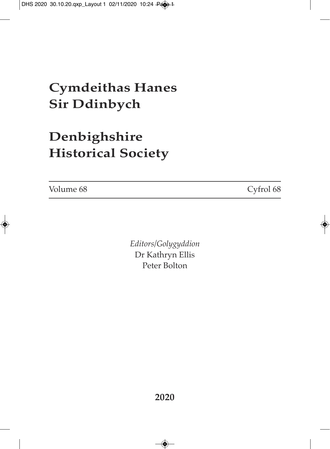DHS 2020 30.10.20.qxp\_Layout 1 02/11/2020 10:24 Page 1

# **Cymdeithas Hanes Sir Ddinbych**

# **Denbighshire Historical Society**

Volume 68 Cyfrol 68

*Editors/Golygyddion* Dr Kathryn Ellis Peter Bolton

**2020**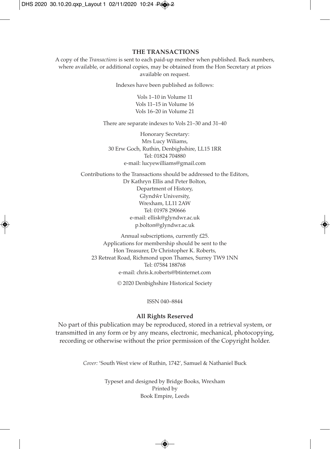DHS 2020 30.10.20.qxp\_Layout 1 02/11/2020 10:24 P

#### **THE TRANSACTIONS**

A copy of the *Transactions* is sent to each paid-up member when published. Back numbers, where available, or additional copies, may be obtained from the Hon Secretary at prices available on request.

Indexes have been published as follows:

Vols 1–10 in Volume 11 Vols 11–15 in Volume 16 Vols 16–20 in Volume 21

There are separate indexes to Vols 21–30 and 31–40

Honorary Secretary: Mrs Lucy Wiliams, 30 Erw Goch, Ruthin, Denbighshire, LL15 1RR Tel: 01824 704880 e-mail: lucyewilliams@gmail.com

Contributions to the Transactions should be addressed to the Editors, Dr Kathryn Ellis and Peter Bolton, Department of History, Glyndŵr University, Wrexham, LL11 2AW Tel: 01978 290666 e-mail: ellisk@glyndwr.ac.uk p.bolton@glyndwr.ac.uk

Annual subscriptions, currently £25. Applications for membership should be sent to the Hon Treasurer, Dr Christopher K. Roberts, 23 Retreat Road, Richmond upon Thames, Surrey TW9 1NN Tel: 07584 188768 e-mail: chris.k.roberts@btinternet.com

© 2020 Denbighshire Historical Society

ISSN 040–8844

#### **All Rights Reserved**

No part of this publication may be reproduced, stored in a retrieval system, or transmitted in any form or by any means, electronic, mechanical, photocopying, recording or otherwise without the prior permission of the Copyright holder.

*Cover:* 'South West view of Ruthin, 1742', Samuel & Nathaniel Buck

Typeset and designed by Bridge Books, Wrexham Printed by Book Empire, Leeds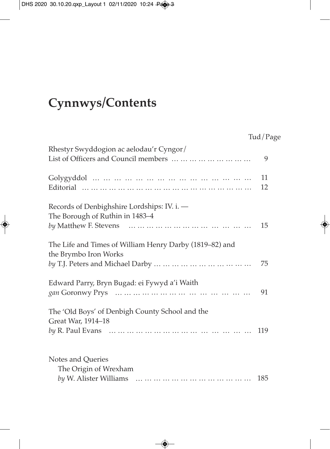# **Cynnwys/Contents**

♦

|                                                                                  | Tud/Page |
|----------------------------------------------------------------------------------|----------|
| Rhestyr Swyddogion ac aelodau'r Cyngor/<br>List of Officers and Council members  | 9        |
|                                                                                  | 11<br>12 |
| Records of Denbighshire Lordships: IV. i. -<br>The Borough of Ruthin in 1483-4   | 15       |
| The Life and Times of William Henry Darby (1819–82) and<br>the Brymbo Iron Works | 75       |
| Edward Parry, Bryn Bugad: ei Fywyd a'i Waith                                     | 91       |
| The 'Old Boys' of Denbigh County School and the<br>Great War, 1914-18            |          |
| Notes and Queries<br>The Origin of Wrexham                                       |          |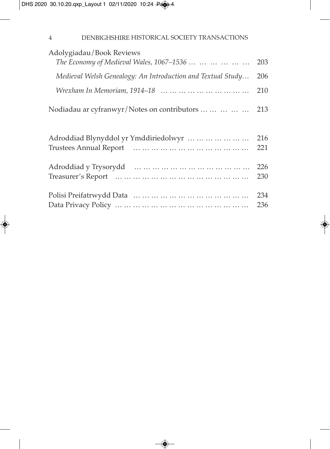| Adolygiadau / Book Reviews                                  |            |
|-------------------------------------------------------------|------------|
| The Economy of Medieval Wales, 1067-1536                    | 203        |
| Medieval Welsh Genealogy: An Introduction and Textual Study | 206        |
|                                                             | 210        |
| Nodiadau ar cyfranwyr/Notes on contributors      213        |            |
| Adroddiad Blynyddol yr Ymddiriedolwyr                       | 216<br>221 |
|                                                             | 226<br>230 |
|                                                             | 234<br>236 |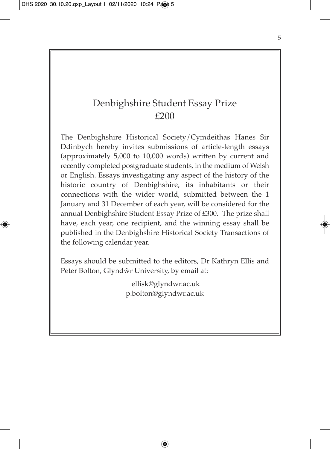5

## Denbighshire Student Essay Prize £200

The Denbighshire Historical Society/Cymdeithas Hanes Sir Ddinbych hereby invites submissions of article-length essays (approximately 5,000 to 10,000 words) written by current and recently completed postgraduate students, in the medium of Welsh or English. Essays investigating any aspect of the history of the historic country of Denbighshire, its inhabitants or their connections with the wider world, submitted between the 1 January and 31 December of each year, will be considered for the annual Denbighshire Student Essay Prize of £300. The prize shall have, each year, one recipient, and the winning essay shall be published in the Denbighshire Historical Society Transactions of the following calendar year.

Essays should be submitted to the editors, Dr Kathryn Ellis and Peter Bolton, Glyndŵr University, by email at:

> ellisk@glyndwr.ac.uk p.bolton@glyndwr.ac.uk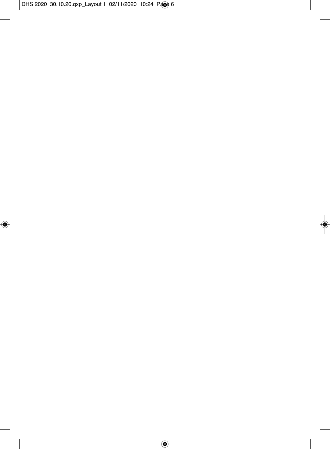DHS 2020 30.10.20.qxp\_Layout 1 02/11/2020 10:24 Page 6

◈

 $\begin{array}{c} \bullet \end{array}$ 

 $\overline{\phantom{a}}$ 

 $\blacklozenge$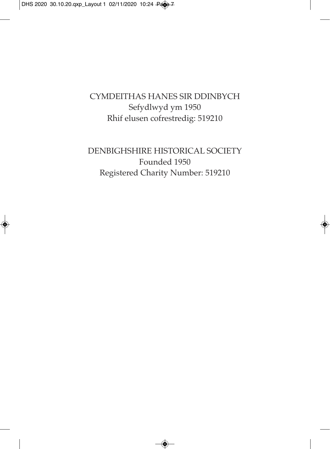CYMDEITHAS HANES SIR DDINBYCH Sefydlwyd ym 1950 Rhif elusen cofrestredig: 519210

DENBIGHSHIRE HISTORICAL SOCIETY Founded 1950 Registered Charity Number: 519210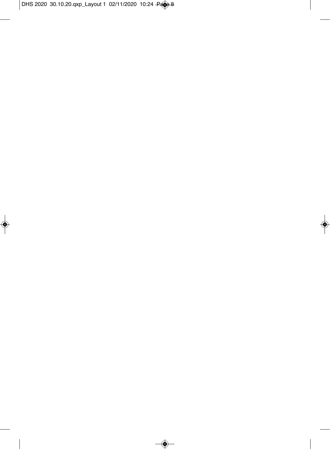DHS 2020 30.10.20.qxp\_Layout 1 02/11/2020 10:24 Page 8

◈

 $\begin{array}{c} \bullet \end{array}$ 

 $\overline{\phantom{a}}$ 

 $\blacklozenge$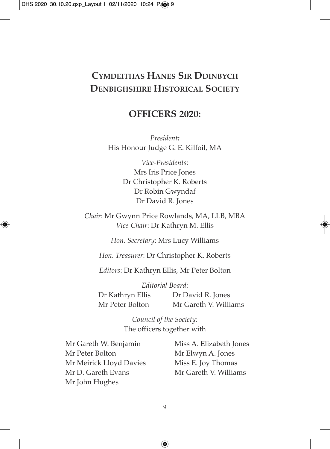## **CYMDEITHAS HANES SIR DDINBYCH DENBIGHSHIRE HISTORICAL SOCIETY**

## **OFFICERS 2020:**

*President:* His Honour Judge G. E. Kilfoil, MA

> *Vice-Presidents:* Mrs Iris Price Jones Dr Christopher K. Roberts Dr Robin Gwyndaf Dr David R. Jones

*Chair*: Mr Gwynn Price Rowlands, MA, LLB, MBA *Vice-Chair*: Dr Kathryn M. Ellis

*Hon. Secretary*: Mrs Lucy Williams

*Hon. Treasurer*: Dr Christopher K. Roberts

*Editors*: Dr Kathryn Ellis, Mr Peter Bolton

*Editorial Board*: Dr Kathryn Ellis Dr David R. Jones Mr Peter Bolton Mr Gareth V. Williams

> *Council of the Society:* The officers together with

Mr Gareth W. Benjamin Mr Peter Bolton Mr Meirick Lloyd Davies Mr D. Gareth Evans Mr John Hughes

Miss A. Elizabeth Jones Mr Elwyn A. Jones Miss E. Joy Thomas Mr Gareth V. Williams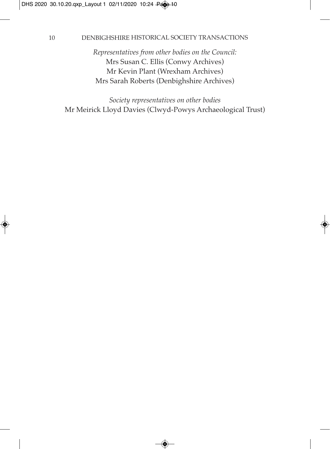*Representatives from other bodies on the Council:* Mrs Susan C. Ellis (Conwy Archives) Mr Kevin Plant (Wrexham Archives) Mrs Sarah Roberts (Denbighshire Archives)

*Society representatives on other bodies* Mr Meirick Lloyd Davies (Clwyd-Powys Archaeological Trust)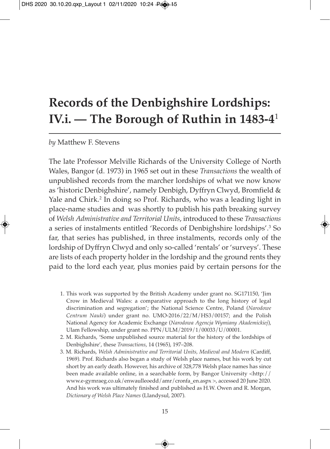## **Records of the Denbighshire Lordships: IV.i. — The Borough of Ruthin in 1483-4**<sup>1</sup>

*by* Matthew F. Stevens

The late Professor Melville Richards of the University College of North Wales, Bangor (d. 1973) in 1965 set out in these *Transactions* the wealth of unpublished records from the marcher lordships of what we now know as 'historic Denbighshire', namely Denbigh, Dyffryn Clwyd, Bromfield & Yale and Chirk.<sup>2</sup> In doing so Prof. Richards, who was a leading light in place-name studies and was shortly to publish his path breaking survey of *Welsh Administrative and Territorial Units*, introduced to these *Transactions* a series of instalments entitled 'Records of Denbighshire lordships'.<sup>3</sup> So far, that series has published, in three instalments, records only of the lordship of Dyffryn Clwyd and only so-called 'rentals' or 'surveys'. These are lists of each property holder in the lordship and the ground rents they paid to the lord each year, plus monies paid by certain persons for the

- 1. This work was supported by the British Academy under grant no. SG171150, 'Jim Crow in Medieval Wales: a comparative approach to the long history of legal discrimination and segregation'; the National Science Centre, Poland (*Narodowe Centrum Nauki*) under grant no. UMO-2016/22/M/HS3/00157; and the Polish National Agency for Academic Exchange (*Narodowa Agencja Wymiany Akademickiej*), Ulam Fellowship, under grant no. PPN/ULM/2019/1/00033/U/00001.
- 2. M. Richards, 'Some unpublished source material for the history of the lordships of Denbighshire', these *Transactions*, 14 (1965), 197–208.
- 3. M. Richards, *Welsh Administrative and Territorial Units, Medieval and Modern* (Cardiff, 1969). Prof. Richards also began a study of Welsh place names, but his work by cut short by an early death. However, his archive of 328,778 Welsh place names has since been made available online, in a searchable form, by Bangor University <http:// www.e-gymraeg.co.uk/enwaulleoedd/amr/cronfa\_en.aspx >, accessed 20 June 2020. And his work was ultimately finished and published as H.W. Owen and R. Morgan, *Dictionary of Welsh Place Names* (Llandysul, 2007).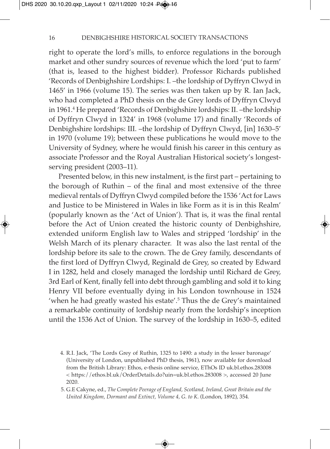right to operate the lord's mills, to enforce regulations in the borough market and other sundry sources of revenue which the lord 'put to farm' (that is, leased to the highest bidder). Professor Richards published 'Records of Denbighshire Lordships: I. –the lordship of Dyffryn Clwyd in 1465' in 1966 (volume 15). The series was then taken up by R. Ian Jack, who had completed a PhD thesis on the de Grey lords of Dyffryn Clwyd in 1961.4 He prepared 'Records of Denbighshire lordships: II. –the lordship of Dyffryn Clwyd in 1324' in 1968 (volume 17) and finally 'Records of Denbighshire lordships: III. –the lordship of Dyffryn Clwyd, [in] 1630–5' in 1970 (volume 19); between these publications he would move to the University of Sydney, where he would finish his career in this century as associate Professor and the Royal Australian Historical society's longestserving president (2003–11).

Presented below, in this new instalment, is the first part – pertaining to the borough of Ruthin – of the final and most extensive of the three medieval rentals of Dyffryn Clwyd compiled before the 1536 'Act for Laws and Justice to be Ministered in Wales in like Form as it is in this Realm' (popularly known as the 'Act of Union'). That is, it was the final rental before the Act of Union created the historic county of Denbighshire, extended uniform English law to Wales and stripped 'lordship' in the Welsh March of its plenary character. It was also the last rental of the lordship before its sale to the crown. The de Grey family, descendants of the first lord of Dyffryn Clwyd, Reginald de Grey, so created by Edward I in 1282, held and closely managed the lordship until Richard de Grey, 3rd Earl of Kent, finally fell into debt through gambling and sold it to king Henry VII before eventually dying in his London townhouse in 1524 'when he had greatly wasted his estate'.5 Thus the de Grey's maintained a remarkable continuity of lordship nearly from the lordship's inception until the 1536 Act of Union. The survey of the lordship in 1630–5, edited

 <sup>4.</sup> R.I. Jack, 'The Lords Grey of Ruthin, 1325 to 1490: a study in the lesser baronage' (University of London, unpublished PhD thesis, 1961), now available for download from the British Library: Ethos, e-thesis online service, EThOs ID uk.bl.ethos.283008 < https://ethos.bl.uk/OrderDetails.do?uin=uk.bl.ethos.283008 >, accessed 20 June 2020.

 <sup>5.</sup> G.E Cakyne, ed., *The Complete Peerage of England, Scotland, Ireland, Great Britain and the United Kingdom, Dormant and Extinct, Volume 4, G. to K*. (London, 1892), 354.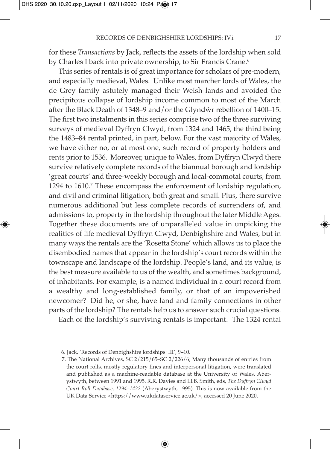#### RECORDS OF DENBIGHSHIRE LORDSHIPS: IV.i 17

for these *Transactions* by Jack, reflects the assets of the lordship when sold by Charles I back into private ownership, to Sir Francis Crane.<sup>6</sup>

This series of rentals is of great importance for scholars of pre-modern, and especially medieval, Wales. Unlike most marcher lords of Wales, the de Grey family astutely managed their Welsh lands and avoided the precipitous collapse of lordship income common to most of the March after the Black Death of 1348–9 and/or the Glyndŵr rebellion of 1400–15. The first two instalments in this series comprise two of the three surviving surveys of medieval Dyffryn Clwyd, from 1324 and 1465, the third being the 1483–84 rental printed, in part, below. For the vast majority of Wales, we have either no, or at most one, such record of property holders and rents prior to 1536. Moreover, unique to Wales, from Dyffryn Clwyd there survive relatively complete records of the biannual borough and lordship 'great courts' and three-weekly borough and local-commotal courts, from 1294 to 1610.<sup>7</sup> These encompass the enforcement of lordship regulation, and civil and criminal litigation, both great and small. Plus, there survive numerous additional but less complete records of surrenders of, and admissions to, property in the lordship throughout the later Middle Ages. Together these documents are of unparalleled value in unpicking the realities of life medieval Dyffryn Clwyd, Denbighshire and Wales, but in many ways the rentals are the 'Rosetta Stone' which allows us to place the disembodied names that appear in the lordship's court records within the townscape and landscape of the lordship. People's land, and its value, is the best measure available to us of the wealth, and sometimes background, of inhabitants. For example, is a named individual in a court record from a wealthy and long-established family, or that of an impoverished newcomer? Did he, or she, have land and family connections in other parts of the lordship? The rentals help us to answer such crucial questions.

Each of the lordship's surviving rentals is important. The 1324 rental

 <sup>6.</sup> Jack, 'Records of Denbighshire lordships: III', 9–10.

 <sup>7.</sup> The National Archives, SC 2/215/65–SC 2/226/6; Many thousands of entries from the court rolls, mostly regulatory fines and interpersonal litigation, were translated and published as a machine-readable database at the University of Wales, Aberystwyth, between 1991 and 1995. R.R. Davies and Ll.B. Smith, eds, *The Dyffryn Clwyd Court Roll Database, 1294–1422* (Aberystwyth, 1995). This is now available from the UK Data Service <https://www.ukdataservice.ac.uk/>, accessed 20 June 2020.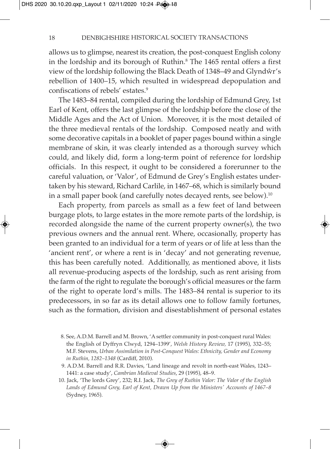allows us to glimpse, nearest its creation, the post-conquest English colony in the lordship and its borough of Ruthin.<sup>8</sup> The 1465 rental offers a first view of the lordship following the Black Death of 1348–49 and Glyndŵr's rebellion of 1400–15, which resulted in widespread depopulation and confiscations of rebels' estates.<sup>9</sup>

The 1483–84 rental, compiled during the lordship of Edmund Grey, 1st Earl of Kent, offers the last glimpse of the lordship before the close of the Middle Ages and the Act of Union. Moreover, it is the most detailed of the three medieval rentals of the lordship. Composed neatly and with some decorative capitals in a booklet of paper pages bound within a single membrane of skin, it was clearly intended as a thorough survey which could, and likely did, form a long-term point of reference for lordship officials. In this respect, it ought to be considered a forerunner to the careful valuation, or 'Valor', of Edmund de Grey's English estates undertaken by his steward, Richard Carlile, in 1467–68, which is similarly bound in a small paper book (and carefully notes decayed rents, see below).<sup>10</sup>

Each property, from parcels as small as a few feet of land between burgage plots, to large estates in the more remote parts of the lordship, is recorded alongside the name of the current property owner(s), the two previous owners and the annual rent. Where, occasionally, property has been granted to an individual for a term of years or of life at less than the 'ancient rent', or where a rent is in 'decay' and not generating revenue, this has been carefully noted. Additionally, as mentioned above, it lists all revenue-producing aspects of the lordship, such as rent arising from the farm of the right to regulate the borough's official measures or the farm of the right to operate lord's mills. The 1483–84 rental is superior to its predecessors, in so far as its detail allows one to follow family fortunes, such as the formation, division and disestablishment of personal estates

 <sup>8.</sup> See, A.D.M. Barrell and M. Brown, 'A settler community in post-conquest rural Wales: the English of Dyffryn Clwyd, 1294–1399', *Welsh History Review,* 17 (1995), 332–55; M.F. Stevens, *Urban Assimilation in Post-Conquest Wales: Ethnicity, Gender and Economy in Ruthin, 1282–1348* (Cardiff, 2010).

 <sup>9.</sup> A.D.M. Barrell and R.R. Davies, 'Land lineage and revolt in north-east Wales, 1243– 1441: a case study', *Cambrian Medieval Studies*, 29 (1995), 48–9.

<sup>10.</sup> Jack, 'The lords Grey', 232; R.I. Jack, *The Grey of Ruthin Valor: The Valor of the English Lands of Edmund Grey, Earl of Kent, Drawn Up from the Ministers' Accounts of 1467–8* (Sydney, 1965).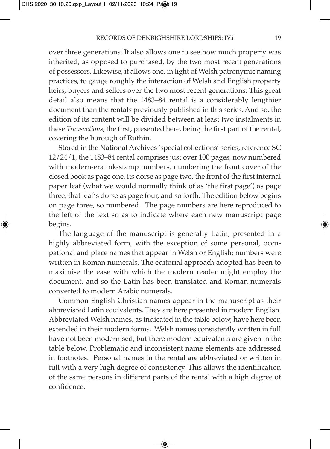#### RECORDS OF DENBIGHSHIRE LORDSHIPS: IV.i 19

over three generations. It also allows one to see how much property was inherited, as opposed to purchased, by the two most recent generations of possessors. Likewise, it allows one, in light of Welsh patronymic naming practices, to gauge roughly the interaction of Welsh and English property heirs, buyers and sellers over the two most recent generations. This great detail also means that the 1483–84 rental is a considerably lengthier document than the rentals previously published in this series. And so, the edition of its content will be divided between at least two instalments in these *Transactions*, the first, presented here, being the first part of the rental, covering the borough of Ruthin.

Stored in the National Archives 'special collections' series, reference SC 12/24/1, the 1483–84 rental comprises just over 100 pages, now numbered with modern-era ink-stamp numbers, numbering the front cover of the closed book as page one, its dorse as page two, the front of the first internal paper leaf (what we would normally think of as 'the first page') as page three, that leaf's dorse as page four, and so forth. The edition below begins on page three, so numbered. The page numbers are here reproduced to the left of the text so as to indicate where each new manuscript page begins.

The language of the manuscript is generally Latin, presented in a highly abbreviated form, with the exception of some personal, occupational and place names that appear in Welsh or English; numbers were written in Roman numerals. The editorial approach adopted has been to maximise the ease with which the modern reader might employ the document, and so the Latin has been translated and Roman numerals converted to modern Arabic numerals.

Common English Christian names appear in the manuscript as their abbreviated Latin equivalents. They are here presented in modern English. Abbreviated Welsh names, as indicated in the table below, have here been extended in their modern forms. Welsh names consistently written in full have not been modernised, but there modern equivalents are given in the table below. Problematic and inconsistent name elements are addressed in footnotes. Personal names in the rental are abbreviated or written in full with a very high degree of consistency. This allows the identification of the same persons in different parts of the rental with a high degree of confidence.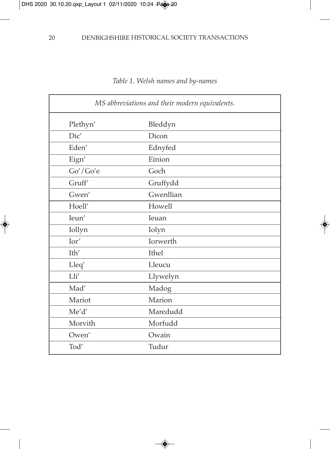## *Table 1. Welsh names and by-names*

|          | MS abbreviations and their modern equivalents. |
|----------|------------------------------------------------|
| Plethyn' | Bleddyn                                        |
| Dic'     | Dicon                                          |
| Eden'    | Ednyfed                                        |
| Eign'    | Einion                                         |
| Go'/Go'e | Goch                                           |
| Gruff'   | Gruffydd                                       |
| Gwen'    | Gwenllian                                      |
| Hoell'   | Howell                                         |
| Ieun'    | Ieuan                                          |
| Iollyn   | Iolyn                                          |
| Ior'     | Iorwerth                                       |
| Ith'     | Ithel                                          |
| Lleq'    | Lleucu                                         |
| $Lli'$   | Llywelyn                                       |
| Mad'     | Madog                                          |
| Mariot   | Marion                                         |
| Me'd'    | Maredudd                                       |
| Morvith  | Morfudd                                        |
| Owen'    | Owain                                          |
| Tod'     | Tudur                                          |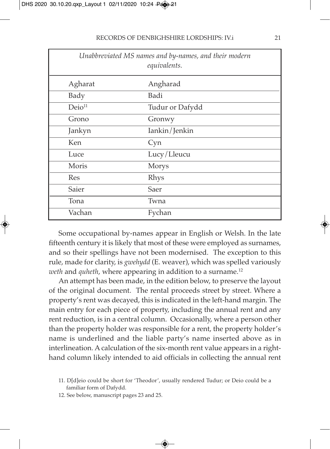|                    | Unabbreviated MS names and by-names, and their modern<br>equivalents. |
|--------------------|-----------------------------------------------------------------------|
| Agharat            | Angharad                                                              |
| Bady               | Badi                                                                  |
| Deio <sup>11</sup> | Tudur or Dafydd                                                       |
| Grono              | Gronwy                                                                |
| Jankyn             | Iankin/Jenkin                                                         |
| Ken                | Cyn                                                                   |
| Luce               | Lucy/Lleucu                                                           |
| Moris              | Morys                                                                 |
| <b>Res</b>         | Rhys                                                                  |
| Saier              | Saer                                                                  |
| Tona               | Twna                                                                  |
| Vachan             | Fychan                                                                |

#### RECORDS OF DENBIGHSHIRE LORDSHIPS: IV.i 21

Some occupational by-names appear in English or Welsh. In the late fifteenth century it is likely that most of these were employed as surnames, and so their spellings have not been modernised. The exception to this rule, made for clarity, is *gwehydd* (E. weaver), which was spelled variously *weth* and *quheth*, where appearing in addition to a surname.<sup>12</sup>

An attempt has been made, in the edition below, to preserve the layout of the original document. The rental proceeds street by street. Where a property's rent was decayed, this is indicated in the left-hand margin. The main entry for each piece of property, including the annual rent and any rent reduction, is in a central column. Occasionally, where a person other than the property holder was responsible for a rent, the property holder's name is underlined and the liable party's name inserted above as in interlineation. A calculation of the six-month rent value appears in a righthand column likely intended to aid officials in collecting the annual rent

12. See below, manuscript pages 23 and 25.

<sup>11.</sup> D[d]eio could be short for 'Theodor', usually rendered Tudur; or Deio could be a familiar form of Dafydd.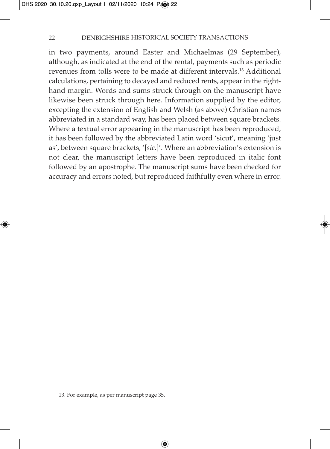in two payments, around Easter and Michaelmas (29 September), although, as indicated at the end of the rental, payments such as periodic revenues from tolls were to be made at different intervals.13 Additional calculations, pertaining to decayed and reduced rents, appear in the righthand margin. Words and sums struck through on the manuscript have likewise been struck through here. Information supplied by the editor, excepting the extension of English and Welsh (as above) Christian names abbreviated in a standard way, has been placed between square brackets. Where a textual error appearing in the manuscript has been reproduced, it has been followed by the abbreviated Latin word 'sicut', meaning 'just as', between square brackets, '[*sic*.]'. Where an abbreviation's extension is not clear, the manuscript letters have been reproduced in italic font followed by an apostrophe. The manuscript sums have been checked for accuracy and errors noted, but reproduced faithfully even where in error.

13. For example, as per manuscript page 35.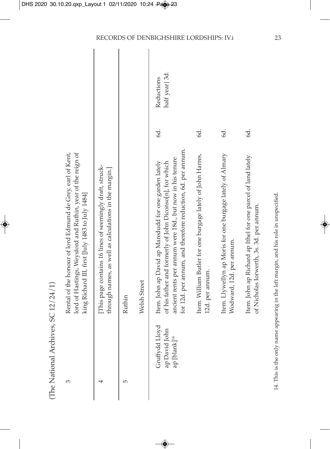(The National Archives, SC 12/24/1) (The National Archives, SC 12/24/1)

|                                                                                                                                                                               |                                                                                                                    |        |              | half year} 3d.<br>Reductions                                                                                                                                                                                                                 |                                                                                |                                                                                       |                                                                                                          |
|-------------------------------------------------------------------------------------------------------------------------------------------------------------------------------|--------------------------------------------------------------------------------------------------------------------|--------|--------------|----------------------------------------------------------------------------------------------------------------------------------------------------------------------------------------------------------------------------------------------|--------------------------------------------------------------------------------|---------------------------------------------------------------------------------------|----------------------------------------------------------------------------------------------------------|
|                                                                                                                                                                               |                                                                                                                    |        |              | હં                                                                                                                                                                                                                                           | s.                                                                             | Ġ.                                                                                    | Ġ.                                                                                                       |
| lord of Hastings, Weysford and Ruthin, year of the reign of<br>Rental of the honour of lord Edmund de Grey, earl of Kent,<br>king Richard III, first [July 1483 to July 1484] | [This page contains 16 lines of seemingly draft, struck-<br>through names, as well as calculations in the margin.] | Ruthin | Welsh Street | for 12d. per annum, and therefore reduction, 6d. per annum.<br>ancient rents per annum were 18d., but now in his tenure<br>Item. John ap David ap Maredudd for one garden lately<br>of his father and formerly of John Diconso[n], for which | Item. William Butler for one burgage lately of John Harres,<br>12d. per annum. | Item. Llywellyn ap Moris for one burgage lately of Almary<br>Wodward, 12d. per annum. | Item. John ap Richard ap Ithel for one parcel of land lately<br>of Nicholas Iorwerth, 3s. 3d. per annum. |
|                                                                                                                                                                               |                                                                                                                    |        |              | Gruffydd Lloyd<br>ap David John<br>ap [blank] <sup>14</sup>                                                                                                                                                                                  |                                                                                |                                                                                       |                                                                                                          |
| $\infty$                                                                                                                                                                      |                                                                                                                    | ١Ω     |              |                                                                                                                                                                                                                                              |                                                                                |                                                                                       |                                                                                                          |

14. This is the only name appearing in the left margin, and his role in unspecified. 14. This is the only name appearing in the left margin, and his role in unspecified.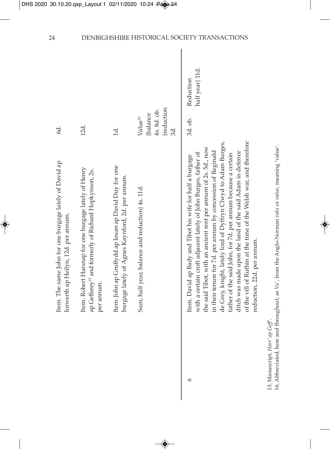|                                | Item. The same John for one burgage lately of David ap<br>Iorwerth ap Heilyn, 12d. per annum.                                                                                                                                                                                                                                                                                                                                                                                                                                                                | જીં                                                                              | 24           |
|--------------------------------|--------------------------------------------------------------------------------------------------------------------------------------------------------------------------------------------------------------------------------------------------------------------------------------------------------------------------------------------------------------------------------------------------------------------------------------------------------------------------------------------------------------------------------------------------------------|----------------------------------------------------------------------------------|--------------|
|                                | Item. Robert Harsnap for one burgage lately of Henry<br>ap Gefferey <sup>15</sup> and formerly of Richard Hopkynson, 2s.<br>per annum.                                                                                                                                                                                                                                                                                                                                                                                                                       | 12d.                                                                             | DENBI        |
|                                | Item. John ap Gruffydd ap Ieuan ap David Duy for one<br>burgage lately of Agnes Kaynford, 2d. per annum.                                                                                                                                                                                                                                                                                                                                                                                                                                                     | 1d.                                                                              |              |
|                                | Sum, half year, balance and reduction} 4s. 11d.                                                                                                                                                                                                                                                                                                                                                                                                                                                                                                              | reduction<br>4s. 8d. ob.<br><i><b>[balance</b></i><br>Value <sup>16</sup><br>3d. |              |
| $\circ$                        | of the vill of Ruthin at the time of the Welsh war, and therefore<br>de Grey, knight, lately lord of Dyffryn Clwyd to Adam Burges,<br>the said Tibot, with an ancient rent per annum of 2s. 5d., now<br>in their tenure for 7d. per annum by concession of Reginald<br>ditch was made upon the land of the said Adam in defence<br>with a certain croft adjacent lately of John Burges, father of<br>father of the said John, for 7d. per annum because a certain<br>Item. David ap Bady and Tibot his wife for half a burgage<br>reduction, 22d. per annum. | half year} 11d.<br>Reduction<br>3d. ob.                                          | TRANSACTIONS |
| 5. Manuscript, Harr' an Geff'. |                                                                                                                                                                                                                                                                                                                                                                                                                                                                                                                                                              |                                                                                  |              |

15. Manuscript, *Harr' ap Geff*'.

15. Manuscript, *Harr' ap Geff*.<br>16. Abbreviated, here and throughout, as *Vu'*, from the Anglo-Norman *valu* or *value*, meaning 'value'. 16. Abbreviated, here and throughout, as *Vu*', from the Anglo-Norman *valu* or *value*, meaning 'value'.

 $\overline{\phantom{a}}$ 

G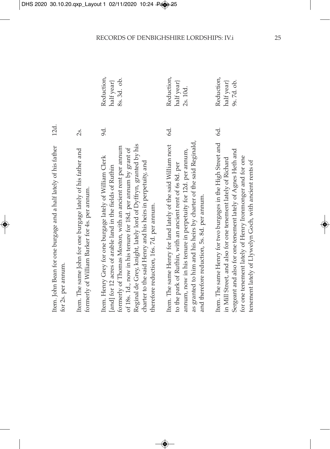| Item. John Bean for one burgage and a half lately of his father<br>for 2s. per annum.                                                                                                                                                                                                                                                                                                                                           | 12d. |                                         |  |
|---------------------------------------------------------------------------------------------------------------------------------------------------------------------------------------------------------------------------------------------------------------------------------------------------------------------------------------------------------------------------------------------------------------------------------|------|-----------------------------------------|--|
| Item. The same John for one burgage lately of his father and<br>formerly of William Barker for 4s. per annum.                                                                                                                                                                                                                                                                                                                   | 2s.  |                                         |  |
| Reginal de Grey, knight, lately lord of Dyffryn, granted by his<br>formerly of Thomas Moston, with an ancient rent per annum<br>of 18s. 1d., now in his tenure for 18d. per annum by grant of<br>Item. Henry Grey for one burgage lately of William Clerk<br>charter to the said Henry and his heirs in perpetuity, and<br>and] for 12 acres of arable land in the fields of Ruthin<br>therefore reduction, 16s. 7d. per annum. | 9d.  | Reduction,<br>8s. 3d. ob.<br>half year) |  |
| as granted to him and his heirs by charter of the said Reginald,<br>Item. The same Henry for land lately of the said William next<br>annum, now in his tenure in perpetuity for 12d. per annum,<br>to the park of Ruthin, with an ancient rent of 6s 8d. per<br>and therefore reduction, 5s. 8d. per annum.                                                                                                                     | sd.  | Reduction,<br>half year}<br>2s. 10d.    |  |
| Item. The same Henry for two burgages in the High Street and<br>Sergeant and also for one tenement lately of Agnes Heth and<br>for one tenement lately of Henry Ironmonger and for one<br>in Mill Street, and also for one tenement lately of Richard<br>tenement lately of Llywelyn Goch, with ancient rents of                                                                                                                | sd.  | Reduction,<br>9s. 7d. ob.<br>half year) |  |

## RECORDS OF DENBIGHSHIRE LORDSHIPS: IV.i 25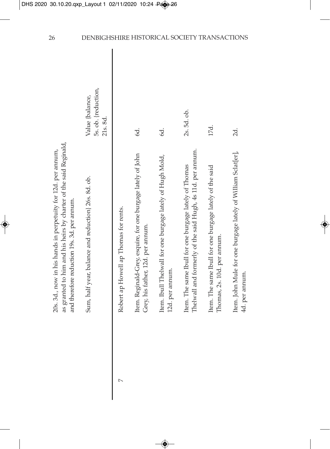| anted to him and his heirs by charter of the said Reginald,<br>od., now in his hands in perpetuity for 12d. per annum,<br>herefore reduction 19s. 3d. per annum. |                                                         |
|------------------------------------------------------------------------------------------------------------------------------------------------------------------|---------------------------------------------------------|
| half year, balance and reduction} 26s. 8d. ob.                                                                                                                   | 5s. ob. {reduction,<br>Value {balance,<br>$\frac{1}{2}$ |

| s granted to him and his heirs by charter of the said Reginald<br>0s. 3d., now in his hands in perpetuity for 12d. per annum,<br>nd therefore reduction 19s. 3d. per annum. |
|-----------------------------------------------------------------------------------------------------------------------------------------------------------------------------|

|                                                                                                                                                                                 | 5s. ob. {reduction,<br>Value {balance,<br>21s. 8d.  |                                       | Ġ.                                                                                                | Ś.                                                                           | 2s. 5d. ob.                                                                                                         | 17d.                                                                                   | 2d.                                                                            |
|---------------------------------------------------------------------------------------------------------------------------------------------------------------------------------|-----------------------------------------------------|---------------------------------------|---------------------------------------------------------------------------------------------------|------------------------------------------------------------------------------|---------------------------------------------------------------------------------------------------------------------|----------------------------------------------------------------------------------------|--------------------------------------------------------------------------------|
| as granted to him and his heirs by charter of the said Reginald,<br>20s. 3d., now in his hands in perpetuity for 12d. per annum,<br>and therefore reduction 19s. 3d. per annum. | Sum, half year, balance and reduction} 26s. 8d. ob. | Robert ap Howell ap Thomas for rents. | Item. Reginald-Grey, esquire, for one burgage lately of John<br>Grey, his father, 12d. per annum. | Item. Ibull Thelwall for one burgage lately of Hugh Mold,<br>12d. per annum. | Thelwall and formerly of the said Hugh, 4s 11d. per annum.<br>Item. The same Ibull for one burgage lately of Thomas | Item. The same Ibull for one burgage lately of the said<br>Thomas, 2s. 10d. per annum. | Item. John Mule for one burgage lately of William Sclat[er],<br>4d. per annum. |
|                                                                                                                                                                                 |                                                     | $\overline{C}$                        |                                                                                                   |                                                                              |                                                                                                                     |                                                                                        |                                                                                |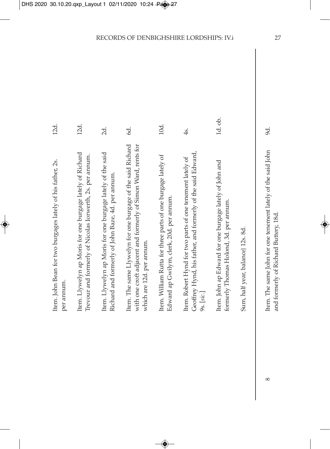| 12d.                                                                     | 12d.                                                                                                                  | 2d.                                                                                                             | sd.                                                                                                                                                      | 10d.                                                                                                     | 4s.                                                                                                                                    | 1d. ob.                                                                                          |                                   | 9d.                                                          |
|--------------------------------------------------------------------------|-----------------------------------------------------------------------------------------------------------------------|-----------------------------------------------------------------------------------------------------------------|----------------------------------------------------------------------------------------------------------------------------------------------------------|----------------------------------------------------------------------------------------------------------|----------------------------------------------------------------------------------------------------------------------------------------|--------------------------------------------------------------------------------------------------|-----------------------------------|--------------------------------------------------------------|
| Item. John Bean for two burgages lately of his father, 2s.<br>per annum. | Item. Llywelyn ap Moris for one burgage lately of Richard<br>Trevour and formerly of Nicolas Iorwerth, 2s. per annum. | Item. Llywelyn ap Moris for one burgage lately of the said<br>Richard and formerly of John Baze, 4d. per annum. | Item. The same Llywelyn for one burgage of the said Richard<br>with one croft adjacent and formerly of Simon Ward, rents for<br>which are 12d. per amum. | Item. William Rutta for three parts of one burgage lately of<br>Edward ap Gwilym, clerk, 20d. per annum. | Geoffrey Hynd, his father, and formerly of the said Edward,<br>Item. Robert Hynd for two parts of one tenement lately of<br>9s. [sic.] | Item. John ap Edward for one burgage lately of John and<br>formerly Thomas Holond, 3d. per amum. | Sum, half year, balance} 12s. 8d. | Item. The same John for one tenement lately of the said John |
|                                                                          |                                                                                                                       |                                                                                                                 |                                                                                                                                                          |                                                                                                          |                                                                                                                                        |                                                                                                  |                                   | $\infty$                                                     |

RECORDS OF DENBIGHSHIRE LORDSHIPS: IV.i 27

and formerly of Richard Buttery, 18d.

and formerly of Richard Buttery, 18d.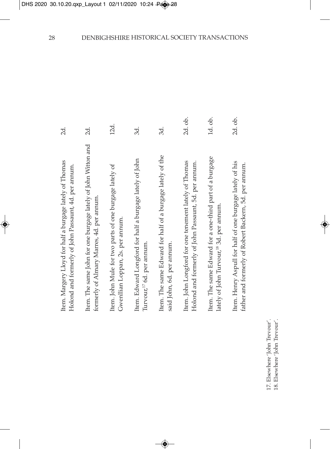| Item. Margery Lloyd for half a burgage lately of Thomas<br>Holond and formerly of John Passaunt, 4d. per annum.   | 2d.     |
|-------------------------------------------------------------------------------------------------------------------|---------|
| Item. The same John for one burgage lately of John Witton and<br>formerly of Almary Marres, 4d. per amum.         | 2d.     |
| Item. John Mule for two parts of one burgage lately of<br>Gwenllian Loppan, 2s. per annum.                        | 12d.    |
| Item. Edward Longford for half a burgage lately of John<br>Turvour, <sup>17</sup> 6d. per annum.                  | 3d.     |
| Item. The same Edward for half of a burgage lately of the<br>said John, 6d. per annum.                            | 3d.     |
| Item. John Longford for one tenement lately of Thomas<br>Holond and formerly of John Passaunt, 5d. per annum.     | 2d. ob. |
| Item. The same Edward for a one-third part of a burgage<br>lately of John Turvour, <sup>18</sup> 3d. per annum.   | 1d. ob. |
| Item. Henry Aspull for half of one burgage lately of his<br>father and formerly of Robert Backern, 5d. per annum. | 2d. ob. |

17. Elsewhere 'John Trevour'.<br>18. Elsewhere 'John Trevour'. 17. Elsewhere 'John Trevour'. 18. Elsewhere 'John Trevour'.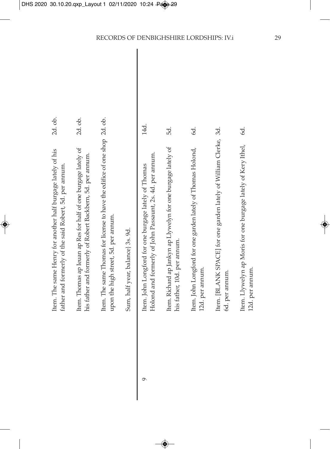RECORDS OF DENBIGHSHIRE LORDSHIPS: IV.i 29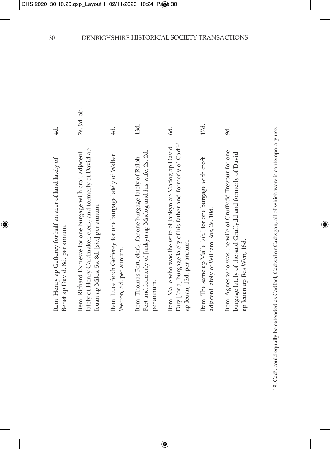| 4d.                                                                                          | 2s. 9d. ob.                                                                                                                                                         | न<br>द                                                                               | 13d.                                                                                                                                  | Ś.                                                                                                                                                                  | 17d.                                                                                                  | 9d.                                                                                                                                                |
|----------------------------------------------------------------------------------------------|---------------------------------------------------------------------------------------------------------------------------------------------------------------------|--------------------------------------------------------------------------------------|---------------------------------------------------------------------------------------------------------------------------------------|---------------------------------------------------------------------------------------------------------------------------------------------------------------------|-------------------------------------------------------------------------------------------------------|----------------------------------------------------------------------------------------------------------------------------------------------------|
| Item. Henry ap Gefferey for half an acer of land lately of<br>Benet ap David, 8d. per annum. | lately of Henry Cardmaker, clerk, and formerly of David ap<br>Item. Richard Exmewe for one burgage with croft adjacent<br>Ieuan ap Miles, 5s. 8d. [sic.] per annum. | Item. Luce ferch Gefferey for one burgage lately of Walter<br>Wetton, 8d. per annum. | Pert and formerly of Jankyn ap Madog and his wife, 2s. 2d.<br>Item. Thomas Pert, clerk, for one burgage lately of Ralph<br>per annum. | Duy [for a] burgage lately of his father and formerly of Cad <sup>19</sup><br>Item. Malle who was the wife of Jankyn ap Madog ap David<br>ap Ieuan, 12d. per annum. | Item. The same ap Malle [sic.] for one burgage with croft<br>adjacent lately of William Ros, 2s. 10d. | Item. Agnes who was the wife of Gruffydd Trevour for one<br>burgage lately of the said Gruffydd and formerly of David<br>ap leuan ap Res Wyn, 18d. |

19. Cad', could equally be extended as Cadfael, Cadwal or Cadwgan, all of which were is contemporary use. 19. Cad', could equally be extended as Cadfael, Cadwal or Cadwgan, all of which were is contemporary use.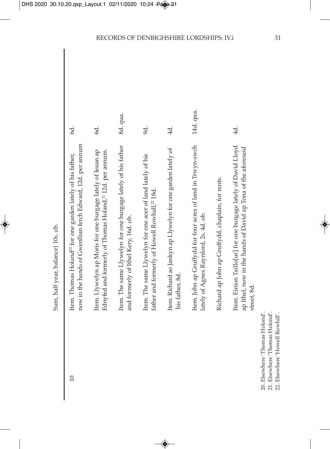|                                   | Ś.                                                                                                                                   | હતં.                                                                                                                               | 8d. qua.                                                                                             | 9d.                                                                                                                     | ₫.                                                                              | 14d. qua.                                                                                            |                                                   | 4d.                                                                                                                                          |
|-----------------------------------|--------------------------------------------------------------------------------------------------------------------------------------|------------------------------------------------------------------------------------------------------------------------------------|------------------------------------------------------------------------------------------------------|-------------------------------------------------------------------------------------------------------------------------|---------------------------------------------------------------------------------|------------------------------------------------------------------------------------------------------|---------------------------------------------------|----------------------------------------------------------------------------------------------------------------------------------------------|
| Sum, half year, balance} 10s. ob. | now in the hands of Gwenllian ferch Edward, 12d. per annum<br>Item. Thomas Holand <sup>20</sup> for one garden lately of his father, | Item. Llywelyn ap Moris for one burgage lately of Ieuan ap<br>Ednyfed and formerly of Thomas Holand, <sup>21</sup> 12d. per annum. | Item. The same Llywelyn for one burgage lately of his father<br>and formerly of Ithel Kery, 16d. ob. | Item. The same Llywelyn for one acer of land lately of his<br>father and formerly of Howell Rowhall, <sup>22</sup> 18d. | Item. Richard ao Jankyn ap Llywelyn for one garden lately of<br>his father, 8d. | Item. John ap Gruffydd for four acres of land in Trwyn-swch<br>lately of Agnes Raynford, 2s. 4d. ob. | Richard ap John ap Gruffydd, chaplain, for rents. | Item. Einion Taillo[ur] for one burgage lately of David Lloyd<br>ap Ithel, now in the hands of David ap Tona of the aforesaid<br>street, 8d. |
|                                   | $\overline{10}$                                                                                                                      |                                                                                                                                    |                                                                                                      |                                                                                                                         |                                                                                 |                                                                                                      |                                                   |                                                                                                                                              |

Sum half wear halancel 10s ob

RECORDS OF DENBIGHSHIRE LORDSHIPS: IV.i 31

20. Elsewhere "Thomas Holond'.<br>21. Elsewhere "Thomas Holond'.<br>22. Elsewhere 'Howell Rowhill'. 20. Elsewhere 'Thomas Holond'. 21. Elsewhere 'Thomas Holond'. 22. Elsewhere 'Howell Rowhill'.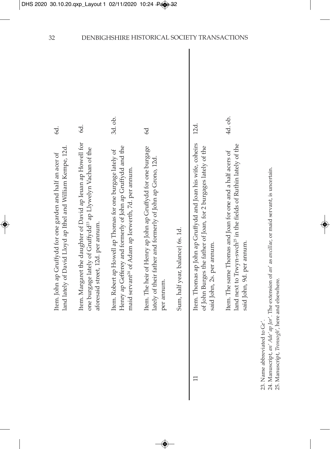|--|

24. Manuscript,  $an'$  Ade' ap Jor'. The extension of  $an'$  as  $ancilla$ , or maid servant, is uncertain.<br>25. Manuscript, Tronsogh', here and elsewhere. 24. Manuscript, *an' Ade' ap Jor*'. The extension of *an*' as *ancillae*, or maid servant, is uncertain.

25. Manuscript, *Tronsogh*', here and elsewhere.

32 DENBIGHSHIRE HISTORICAL SOCIETY TRANSACTIONS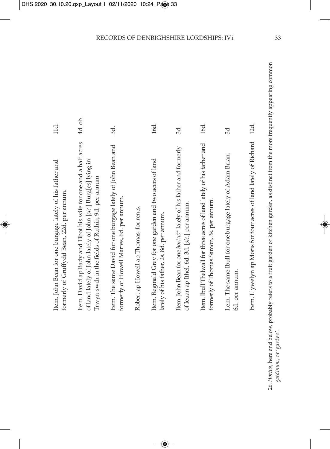| $\Xi$                                                                                                  | 4d. ob.                                                                                                                                                                                | ನೆ.                                                                                                       |                                        | 16d.                                                                                                 | ડે.                                                                                                                                  | 18d.                                                                                                              | 3d                                                                           | 12d.                                                             |
|--------------------------------------------------------------------------------------------------------|----------------------------------------------------------------------------------------------------------------------------------------------------------------------------------------|-----------------------------------------------------------------------------------------------------------|----------------------------------------|------------------------------------------------------------------------------------------------------|--------------------------------------------------------------------------------------------------------------------------------------|-------------------------------------------------------------------------------------------------------------------|------------------------------------------------------------------------------|------------------------------------------------------------------|
| Item. John Bean for one burgage lately of his father and<br>formerly of Gruffydd Bean, 22d. per annum. | Item. David ap Bady and Tibot his wife for one and a half acres<br>of land lately of John lately of John [sic.] Burg[es] lying in<br>Trwyn-swch in the fields of Ruthin, 9d. per annum | Item. The same David for one burgage lately of John Bean and<br>formerly of Howell Marres, 6d. per annum. | Robert ap Howell ap Thomas, for rents. | Item. Reginald Grey for one garden and two acers of land<br>lately of his father, 2s. 8d. per annum. | Item. John Bean for one <i>hortus<sup>26</sup></i> lately of his father and formerly<br>of Ieuan ap Ithel, 6d. 3d. [sic.] per annum. | Item. Ibull Thelwall for three acres of land lately of his father and<br>formerly of Thomas Samon, 3s. per annum. | Item. The same Ibull for one burgage lately of Adam Brian,<br>6d. per annum. | Item. Llywelyn ap Moris for four acres of land lately of Richard |
|                                                                                                        |                                                                                                                                                                                        |                                                                                                           |                                        |                                                                                                      |                                                                                                                                      |                                                                                                                   |                                                                              |                                                                  |

26. Hortus, here and below, probably refers to a fruit garden or kitchen garden, as distinct from the more frequently appearing common 26. *Hortus*, here and below, probably refers to a fruit garden or kitchen garden, as distinct from the more frequently appearing common *gardinum*, or 'garden'. gardinum, or 'garden'.

## RECORDS OF DENBIGHSHIRE LORDSHIPS: IV.i 33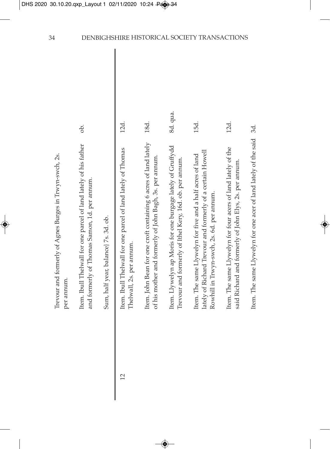|                                                                       | oЬ.                                                                                                              |                                      | 12d.                                                                                     | 18d.                                                                                                                       | 8d. qua.                                                                                                              | 15d.                                                                                                                                                                 | 12d.                                                                                                                   | રવં.                                                            |
|-----------------------------------------------------------------------|------------------------------------------------------------------------------------------------------------------|--------------------------------------|------------------------------------------------------------------------------------------|----------------------------------------------------------------------------------------------------------------------------|-----------------------------------------------------------------------------------------------------------------------|----------------------------------------------------------------------------------------------------------------------------------------------------------------------|------------------------------------------------------------------------------------------------------------------------|-----------------------------------------------------------------|
| Trevour and formerly of Agnes Burges in Trwyn-swch, 2s.<br>per annum. | Item. Ibull Thelwall for one parcel of land lately of his father<br>and formerly of Thomas Samon, 1d. per annum. | Sum, half year, balance} 7s. 3d. ob. | Item. Ibull Thelwall for one parcel of land lately of Thomas<br>Thelwall, 2s. per annum. | Item. John Bean for one croft containing 6 acres of land lately<br>of his mother and formerly of John Bagh, 3s. per annum. | Item. Llywelyn ap Moris for one burgage lately of Gruffydd<br>Trevour and formerly of Ithel Kery, 16d. ob. per annum. | lately of Richard Trevour and formerly of a certain Howell<br>Item. The same Llywelyn for five and a half acres of land<br>Rowhill in Trwyn-swch, 2s. 6d. per annum. | Item. The same Llywelyn for four acers of land lately of the<br>said Richard and formerly of John Elys, 2s. per annum. | Item. The same Llywelyn for one acer of land lately of the said |
|                                                                       |                                                                                                                  |                                      | $\overline{2}$                                                                           |                                                                                                                            |                                                                                                                       |                                                                                                                                                                      |                                                                                                                        |                                                                 |

 $\overline{\phantom{a}}$ 

DHS 2020 30.10.20.qxp\_Layout 1 02/11/2020 10:24 Page 34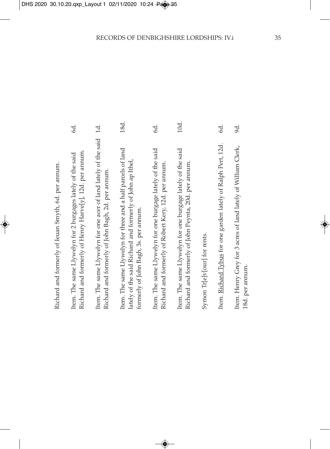| Richard and formerly of Ieuan Smyth, 6d. per annum.                                                                                                                |             |
|--------------------------------------------------------------------------------------------------------------------------------------------------------------------|-------------|
| Richard and formerly of Henry Harvely], 12d. per annum.<br>Item. The same Llywelyn for 2 burgages lately of the said                                               | sd.         |
| Item. The same Llywelyn for one acer of land lately of the said<br>Richard and formerly of John Bagh, 2d. per annum.                                               | $\vec{a}$ . |
| Item. The same Llywelyn for three and a half parcels of land<br>lately of the said Richard and formerly of John ap Ithel,<br>formerly of John Bagh, 3s. per annum. | 18d.        |
| Item. The same Llywelyn for one burgage lately of the said<br>Richard and formerly of Robert Kery, 12d. per annum.                                                 | હતં.        |
| Item. The same Llywelyn for one burgage lately of the said<br>Richard and formerly of John Peynta, 20d. per annum.                                                 | 10d.        |
| Symon Tr[e]v[our] for rents.                                                                                                                                       |             |
| Item. Richard Tybus for one garden lately of Ralph Pert, 12d.                                                                                                      | Ġ.          |
| Item. Henry Grey for 3 acres of land lately of William Clerk,<br>18d. per annum.                                                                                   | 3d.         |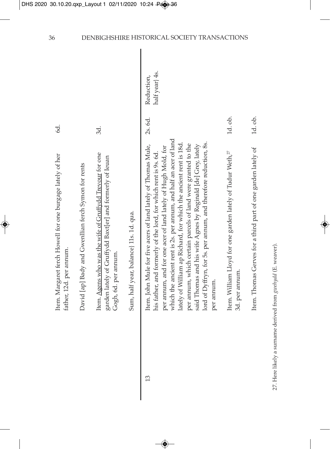|                                                                                                                                                                                                                                                                     |                                                                | half year} 4s.<br>Reduction,                                                                                                                                                                                                                                                                                                                                                                                                                                                                                                                                |                                                                                          |                                                              |
|---------------------------------------------------------------------------------------------------------------------------------------------------------------------------------------------------------------------------------------------------------------------|----------------------------------------------------------------|-------------------------------------------------------------------------------------------------------------------------------------------------------------------------------------------------------------------------------------------------------------------------------------------------------------------------------------------------------------------------------------------------------------------------------------------------------------------------------------------------------------------------------------------------------------|------------------------------------------------------------------------------------------|--------------------------------------------------------------|
| ડતં<br>3d.                                                                                                                                                                                                                                                          |                                                                | 2s. 6d.                                                                                                                                                                                                                                                                                                                                                                                                                                                                                                                                                     | 1d. ob.                                                                                  | 1d. ob.                                                      |
| Item. Agens who was the wife of Gruffydd Trevour for one<br>Item. Margaret ferch Howell for one burgage lately of her<br>garden lately of Gruffydd Baxt[er] and formerly of Ieuan<br>David [ap] Bady and Gwenllian ferch Symon for rents<br>father, 12d. per annum. | Sum, half year, balance} 11s. 1d. qua.<br>Gogh, 6d. per annum. | which the ancient rent is 2s. per annum, and half an acer of land<br>lord of Dyffryn, for 5s. per annum, and therefore reduction, 8s.<br>lately of William ap Richard, for which the ancient rent is 18d.<br>per annum, which certain parcels of land were granted to the<br>said Thomas and his wife Agnes by Reginald [de] Grey, lately<br>Item. John Mule for five acers of land lately of Thomas Mule,<br>per annum, and for one acer of land lately of Hugh Mold, for<br>his father, and formerly of the lord, for which rent is 9s. 6d.<br>per annum. | Item. William Lloyd for one garden lately of Tudur Weth, <sup>27</sup><br>3d. per annum. | Item. Thomas Gerves for a third part of one garden lately of |
|                                                                                                                                                                                                                                                                     |                                                                | 13                                                                                                                                                                                                                                                                                                                                                                                                                                                                                                                                                          |                                                                                          |                                                              |

27. Here likely a surname derived from guehydd (E. weaver). 27. Here likely a surname derived from *gwehydd* (E. weaver).

## 36 DENBIGHSHIRE HISTORICAL SOCIETY TRANSACTIONS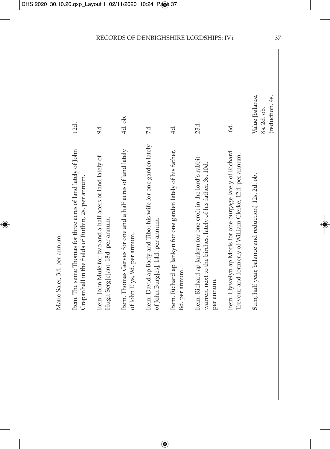|                             | 12d.                                                                                                               | 9d.                                                                                            | 4d. ob.                                                                                     | 7d.                                                                                               | 4d.                                                                            | 23d.                                                                                                                                     | sd.                                                                                                                  | Value [balance,<br>reduction, 4s.<br>8s. 2d. ob.    |
|-----------------------------|--------------------------------------------------------------------------------------------------------------------|------------------------------------------------------------------------------------------------|---------------------------------------------------------------------------------------------|---------------------------------------------------------------------------------------------------|--------------------------------------------------------------------------------|------------------------------------------------------------------------------------------------------------------------------------------|----------------------------------------------------------------------------------------------------------------------|-----------------------------------------------------|
| Matto Saier, 3d. per annum. | Item. The same Thomas for three acres of land lately of John<br>Crepanhall in the fields of Ruthin, 2s. per annum. | Item. John Mule for two and a half acers of land lately of<br>Hugh Serg[e]ant, 18d. per annum. | Item. Thomas Gerves for one and a half acres of land lately<br>of John Elys, 9d. per annum. | Item. David ap Bady and Tibot his wife for one garden lately<br>of John Burg[es], 14d. per annum. | Item. Richard ap Jankyn for one garden lately of his father,<br>8d. per annum. | Item. Richard ap Jankyn for one croft in the lord's rabbit-<br>warren, next to the birches, lately of his father, 3s. 10d.<br>per annum. | Item. Llywelyn ap Moris for one burgage lately of Richard<br>Trevour and formerly of William Clerke, 12d. per annum. | Sum, half year, balance and reduction} 12s. 2d. ob. |
|                             |                                                                                                                    |                                                                                                |                                                                                             |                                                                                                   |                                                                                |                                                                                                                                          |                                                                                                                      |                                                     |

## RECORDS OF DENBIGHSHIRE LORDSHIPS: IV.i 37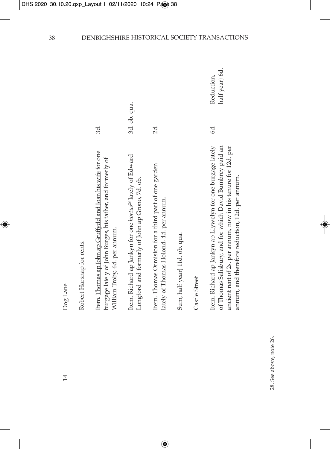|          |                           |                                                                                                                                                           | 3d. ob. qua.                                                                                                             |                                                                                                 |                               |               | half year) 6d.<br>Reduction,                                                                                                                                                                                                               |
|----------|---------------------------|-----------------------------------------------------------------------------------------------------------------------------------------------------------|--------------------------------------------------------------------------------------------------------------------------|-------------------------------------------------------------------------------------------------|-------------------------------|---------------|--------------------------------------------------------------------------------------------------------------------------------------------------------------------------------------------------------------------------------------------|
|          |                           | 3d.                                                                                                                                                       |                                                                                                                          | 2d.                                                                                             |                               |               | бd.                                                                                                                                                                                                                                        |
| Dog Lane | Robert Harsnap for rents. | Item. Thomas ap John ap Gruffydd and Joan his wife for one<br>burgage lately of John Burges, his father, and formerly of<br>William Troby, 6d. per annum. | Item. Richard ap Jankyn for one hortus <sup>28</sup> lately of Edward<br>Longford and formerly of John ap Grono, 7d. ob. | Item. Thomas Ormiston for a third part of one garden<br>lately of Thomas Holond, 4d. per annum. | Sum, half year} 11d. ob. qua. | Castle Street | Item. Richard ap Jankyn ap Llywelyn for one burgage lately<br>of Thomas Salisbury, and for which David Bumbrey paid an<br>ancient rent of 2s. per annum, now in his tenure for 12d. per<br>annum, and therefore reduction, 12d. per annum. |
| 14       |                           |                                                                                                                                                           |                                                                                                                          |                                                                                                 |                               |               |                                                                                                                                                                                                                                            |

28. See above, note 26. 28. See above, note 26.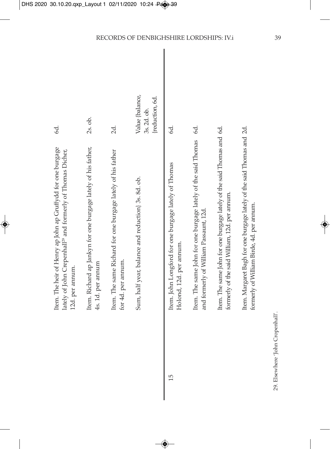| Ġ.                                                                                                                                                       | 2s. ob.                                                                            | 2d.                                                                               | Value [balance,<br>reduction, 6d.<br>3s. 2d. ob.   | Ġ.                                                                                   | Ś.                                                                                                      |                                                                                                                        |                                                                                                                   |
|----------------------------------------------------------------------------------------------------------------------------------------------------------|------------------------------------------------------------------------------------|-----------------------------------------------------------------------------------|----------------------------------------------------|--------------------------------------------------------------------------------------|---------------------------------------------------------------------------------------------------------|------------------------------------------------------------------------------------------------------------------------|-------------------------------------------------------------------------------------------------------------------|
| Item. The heir of Henry ap John ap Gruffydd for one burgage<br>lately of John Crepenhall <sup>29</sup> and formerly of Thomas Dicher,<br>12d. per annum. | Item. Richard ap Jankyn for one burgage lately of his father,<br>4s. 1d. per annum | Item. The same Richard for one burgage lately of his father<br>for 4d. per annum. | Sum, half year, balance and reduction} 3s. 8d. ob. | Item. John Longford for one burgage lately of Thomas<br>Holond, 12d. per amum.<br>15 | Item. The same John for one burgage lately of the said Thomas<br>and formerly of William Passaunt, 12d. | Item. The same John for one burgage lately of the said Thomas and 6d.<br>formerly of the said William, 12d. per annum. | Item. Margaret Bagh for one burgage lately of the said Thomas and 2d.<br>formerly of William Birde, 4d. per amum. |

29. Elsewhere 'John Cropenhall'. 29. Elsewhere 'John Cropenhall'.

RECORDS OF DENBIGHSHIRE LORDSHIPS: IV.i 39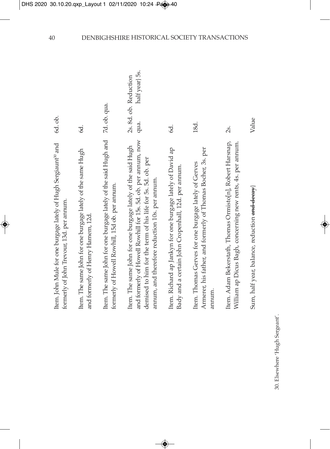| Item. John Mule for one burgage lately of Hugh Sergiaunt <sup>30</sup> and<br>formerly of John Trevour, 13d. per annum.                                                                                                                        | 6d. ob.                                         |
|------------------------------------------------------------------------------------------------------------------------------------------------------------------------------------------------------------------------------------------------|-------------------------------------------------|
| Item. The same John for one burgage lately of the same Hugh<br>and formerly of Henry Hamem, 12d.                                                                                                                                               | હતં.                                            |
| Item. The same John for one burgage lately of the said Hugh and<br>formerly of Howell Rowhill, 15d ob. per amum.                                                                                                                               | 7d. ob. qua.                                    |
| and formerly of Howell Rowhill for 15s. 5d. ob. per annum, now<br>Item. The same John for one burgage lately of the said Hugh<br>demised to him for the term of his life for 5s. 5d. ob. per<br>annum, and therefore reduction 10s. per annum. | half year} 5s.<br>2s. 8d. ob. Reduction<br>qua. |
| Item. Richard ap Jankyn for one burgage lately of David ap<br>Bady and a certain John Cropenhall, 12d. per annum.                                                                                                                              | Ġ.                                              |
| Armerer, his father, and formerly of Thomas Bocher, 3s. per<br>Item. Thomas Gerves for one burgage lately of Gerves<br>annum.                                                                                                                  | 18d.                                            |
| Item. Adam Bekerstath, Thomas Ormisto[n], Robert Harsnap,<br>William ap Dicus Bagh, concerning new rents, 4s. per annum.                                                                                                                       | 2s.                                             |
| Sum, half year, balance, reduction <del>and decay</del> }                                                                                                                                                                                      | Value                                           |

30. Elsewhere 'Hugh Sergeant'. 30. Elsewhere 'Hugh Sergeant'.

## 40 DENBIGHSHIRE HISTORICAL SOCIETY TRANSACTIONS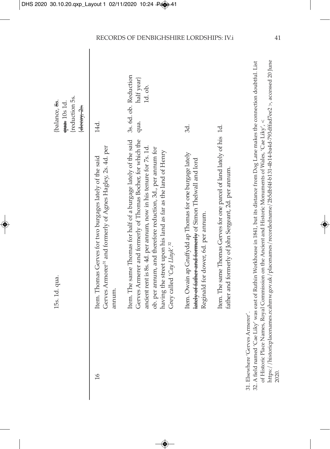| reduction 5s.<br>(balance, <del>8s</del> .<br><del>qua.</del> 10s 1d.<br>decay, 2s. | 14d.                                                                                                                                        | 3s. 6d. ob. Reduction<br>half year<br>1d. ob.<br>qua.                                                                                                                                                                                                                                                                                                                    | 3d.                                                                                                                                                                   |                                                                                                                               |                                                                                                                                                                                                                                                  |
|-------------------------------------------------------------------------------------|---------------------------------------------------------------------------------------------------------------------------------------------|--------------------------------------------------------------------------------------------------------------------------------------------------------------------------------------------------------------------------------------------------------------------------------------------------------------------------------------------------------------------------|-----------------------------------------------------------------------------------------------------------------------------------------------------------------------|-------------------------------------------------------------------------------------------------------------------------------|--------------------------------------------------------------------------------------------------------------------------------------------------------------------------------------------------------------------------------------------------|
| 15s. 1d. qua.                                                                       | Gerves Armorer <sup>31</sup> and formerly of Agnes Hagley, 2s. 4d. per<br>Item. Thomas Gerves for two burgages lately of the said<br>annum. | Item. The same Thomas for half of a burgage lately of the said<br>Gerves Armerer and formerly of Thomas Bocher, for which the<br>ancient rent is 8s. 4d. per annum, now in his tenure for 7s. 1d.<br>ob. per annum, and therefore reduction, 3d., per annum for<br>having the street upon his land as far as the land of Henry<br>Grey called 'Cay Llayk'. <sup>32</sup> | Item. Owain ap Gruffydd ap Thomas for one burgage lately<br><del>lately of father and formerly</del> of Simon Thelwall and lord<br>Reginald for dower, 6d. per annum. | Item. The same Thomas Gerves for one parcel of land lately of his 1d.<br>father and formerly of John Sergeant, 2d. per annum. | 32. A field named 'Cae Liky' was east of Ruthin Workhouse in 1841, but its distance from Dog Lane makes the connection doubtful. List<br>of Historic Place Names, Royal Commission on the Ancient and Historic Monuments of Wales, 'Cae Liky', < |
|                                                                                     | $\frac{6}{2}$                                                                                                                               |                                                                                                                                                                                                                                                                                                                                                                          |                                                                                                                                                                       |                                                                                                                               | 31. Elsewhere 'Gerves Armerer'.                                                                                                                                                                                                                  |

https://historicplacenames.rcahmw.gov.uk/placenames/recordedname/2b5dbf4f-b131-4b14-ba4d-793dffad7ee2 >, accessed 20 June https://historicplacenames.rcahmw.gov.uk/placenames/recordedname/2b5dbf4f-b131-4b14-ba4d-793dffad7ee2 >, accessed 20 June<br>2020.

RECORDS OF DENBIGHSHIRE LORDSHIPS: IV.i 41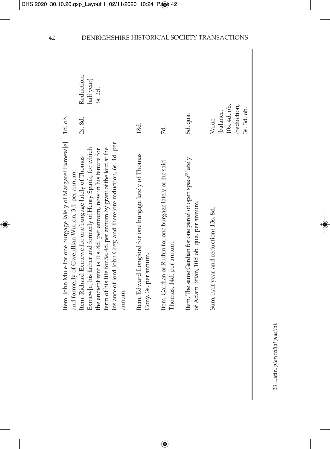| 1d. ob.                                                                                                                     | Reduction,<br>half year)<br>3s. 2d.<br>2s. 8d.                                                                                                                                                                                                                                                                                          | 18d.                                                                           | 7d.                                                                                   | 5d. qua.                                                                                                           | 10s. 4d. ob.<br>reduction,<br>3s. 3d. ob.<br>(balance,<br>Value |
|-----------------------------------------------------------------------------------------------------------------------------|-----------------------------------------------------------------------------------------------------------------------------------------------------------------------------------------------------------------------------------------------------------------------------------------------------------------------------------------|--------------------------------------------------------------------------------|---------------------------------------------------------------------------------------|--------------------------------------------------------------------------------------------------------------------|-----------------------------------------------------------------|
|                                                                                                                             |                                                                                                                                                                                                                                                                                                                                         |                                                                                |                                                                                       |                                                                                                                    |                                                                 |
| Item. John Mule for one burgage lately of Margaret Exmew <sup>[e]</sup><br>and formerly of Gwenllian Wutton, 3d. per annum. | instance of lord John Grey, and therefore reduction, 6s. 4d. per<br>Exmew[e] his father and formerly of Henry Spank, for which<br>term of his life for 5s. 4d. per amum by grant of the lord at the<br>the ancient rent is 11s. 8d. per annum, now in his tenure for<br>Item. Richard Exmewe for one burgage lately of Thomas<br>annum. | Item. Edward Longford for one burgage lately of Thomas<br>Cony, 3s. per annum. | Item. Gardian of Ruthin for one burgage lately of the said<br>Thomas, 14d. per annum. | Item. The same Gardian for one parcel of open space <sup>33</sup> lately<br>of Adam Brian, 10d ob. qua. per annum. | Sum, half year and reduction} 13s. 8d.                          |
|                                                                                                                             |                                                                                                                                                                                                                                                                                                                                         |                                                                                |                                                                                       |                                                                                                                    |                                                                 |

33. Latin, p[ar]cell[a] plac[ia]. 33. Latin, *p[ar]cell[a] plac[ia]*.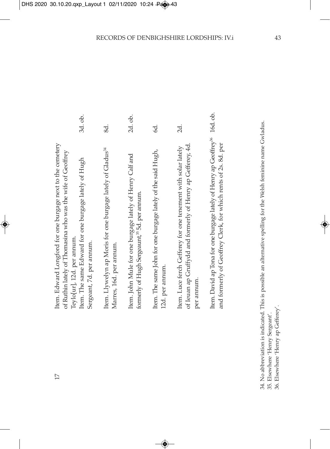| 3d. ob.                                                                                                                                                                                                                                    | 8d.                                                                                               | 2d. ob.                                                                                                              | Ś.                                                                              | 2d.                                                                                                                                       |                                                                                                                                                          |  |
|--------------------------------------------------------------------------------------------------------------------------------------------------------------------------------------------------------------------------------------------|---------------------------------------------------------------------------------------------------|----------------------------------------------------------------------------------------------------------------------|---------------------------------------------------------------------------------|-------------------------------------------------------------------------------------------------------------------------------------------|----------------------------------------------------------------------------------------------------------------------------------------------------------|--|
| Item. Edward Longford for one burgage next to the cemetery<br>of Ruthin lately of Thomasina who was the wife of Geoffrey<br>Item. The same Edward for one burgage lately of Hugh<br>Teylo[ur], 12d. per annum.<br>Sergeant, 7d. per annum. | Item. Llywelyn ap Moris for one burgage lately of Gladus <sup>34</sup><br>Marres, 16d. per annum. | Item. John Mule for one burgage lately of Henry Calf and<br>formerly of Hugh Sergeaunt, <sup>35</sup> 5d. per annum. | Item. The same John for one burgage lately of the said Hugh,<br>12d. per annum. | of Ieuan ap Gruffydd and formerly of Henry ap Gefferey, 4d.<br>Item. Luce ferch Gefferey for one tenement with solar lately<br>per annum. | Item. David ap Tona for one burgage lately of Henry ap Geoffrey <sup>36</sup> 16d. ob.<br>and formerly of Geoffrey Clerk, for which rents of 2s. 8d. per |  |
| $\overline{17}$                                                                                                                                                                                                                            |                                                                                                   |                                                                                                                      |                                                                                 |                                                                                                                                           |                                                                                                                                                          |  |

34. No abbreviation is indicated. This is possible an alternative spelling for the Welsh feminine name Gwladus. 34. No abbreviation is indicated. This is possible an alternative spelling for the Welsh feminine name Gwladus. 35. Elsewhere 'Henry Sergeant'.<br>36. Elsewhere 'Henry ap Gefferey'. 35. Elsewhere 'Henry Sergeant'.

36. Elsewhere 'Henry ap Gefferey'.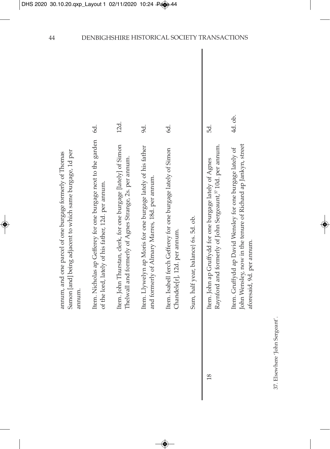|                                                                                                                               |                                                                                                                         | 12d.                                                                                                                    | 9d.                                                                                                            | Ġ.                                                                                          |                                      | ದೆ.                                                                                                                        | 4d. ob.                                                                                                                                                |
|-------------------------------------------------------------------------------------------------------------------------------|-------------------------------------------------------------------------------------------------------------------------|-------------------------------------------------------------------------------------------------------------------------|----------------------------------------------------------------------------------------------------------------|---------------------------------------------------------------------------------------------|--------------------------------------|----------------------------------------------------------------------------------------------------------------------------|--------------------------------------------------------------------------------------------------------------------------------------------------------|
| Samon [and] being adjacent to which same burgage, 1d per<br>annum, and one parcel of one burgage formerly of Thomas<br>annum. | Item. Nicholas ap Gefferey for one burgage next to the garden 6d.<br>of the lord, lately of his father, 12d. per annum. | Item. John Thurstan, clerk, for one burgage [lately] of Simon<br>Thelwall and formerly of Agnes Strange, 2s. per annum. | Item. Llywelyn ap Moris for one burgage lately of his father<br>and formerly of Almary Marres, 18d. per annum. | Item. Isabell ferch Gefferey for one burgage lately of Simon<br>Chandele[r], 12d. per amum. | Sum, half year, balance) 6s. 5d. ob. | Raynford and formerly of John Sergeaunt, $^{37}$ 10d. per annum.<br>Item. John ap Gruffydd for one burgage lately of Agnes | John Wensley, now in the tenure of Richard ap Jankyn, street<br>Item. Gruffydd ap David Wensley for one burgage lately of<br>aforesaid, 9d. per annum. |
|                                                                                                                               |                                                                                                                         |                                                                                                                         |                                                                                                                |                                                                                             |                                      | 18                                                                                                                         |                                                                                                                                                        |

37. Elsewhere 'John Sergeant'. 37. Elsewhere 'John Sergeant'.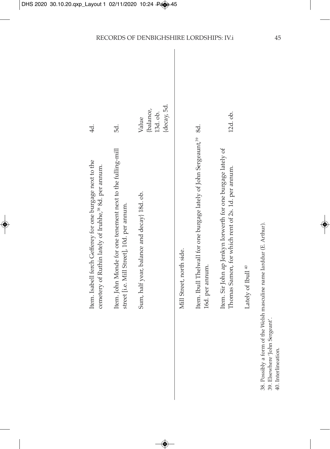| Item. Isabell ferch Gefferey for one burgage next to the<br>cemetery of Ruthin lately of Iruhhe, <sup>38</sup> 8d. per annum. | 4d.                                           |
|-------------------------------------------------------------------------------------------------------------------------------|-----------------------------------------------|
| Item. John Monde for one tenement next to the fulling-mill<br>street [i.e. Mill Street], 10d. per annum.                      | 5d.                                           |
| Sum, half year, balance and decay} 18d. ob.                                                                                   | {decay, 5d.<br>(balance,<br>13d. ob.<br>Value |
| Mill Street, north side.                                                                                                      |                                               |
| Item. Ibull Thelwall for one burgage lately of John Sergeaunt, <sup>39</sup> 8d.<br>16d. per annum.                           |                                               |
| Item. Sir John ap Jenkyn Iorwerth for one burgage lately of<br>Thomas Samon, for which rent of 2s. 1d. per annum.             | 12d. ob.                                      |
| Lately of Ibull 40                                                                                                            |                                               |
| 3. Possibly a form of the Welsh masculine name Iarddur (E. Arthur).                                                           |                                               |

38. Possibly a form of the Welsh masculine name Iarddur (E. Arthur). 38. Possibly a form of the Welsl<br>39. Elsewhere 'John Sergeant'.<br>40. Interlimeation. 39. Elsewhere 'John Sergeant'. 40. Interlineation.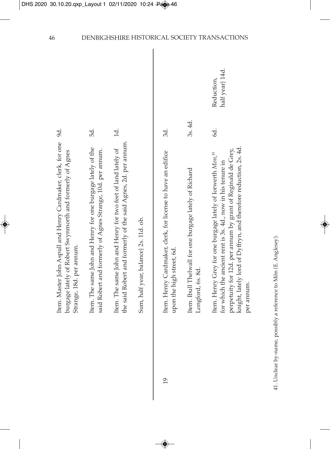|                                                                                                                                                          |                                                                                                                           |                                                                                                                                |                                       |                                                                                           |                                                                             | half year} 14d.<br>Reduction,                                                                                                                                                                                                                                                          |
|----------------------------------------------------------------------------------------------------------------------------------------------------------|---------------------------------------------------------------------------------------------------------------------------|--------------------------------------------------------------------------------------------------------------------------------|---------------------------------------|-------------------------------------------------------------------------------------------|-----------------------------------------------------------------------------|----------------------------------------------------------------------------------------------------------------------------------------------------------------------------------------------------------------------------------------------------------------------------------------|
|                                                                                                                                                          | 5d.                                                                                                                       | ¤.                                                                                                                             |                                       | 3d.                                                                                       | 3s. 4d.                                                                     | Ġ.                                                                                                                                                                                                                                                                                     |
| Item. Master John Aspull and Henry Cardmaker, clerk, for one 9d.<br>burgage lately of Robert Swynmorth and formerly of Agnes<br>Strange, 18d. per annum. | Item. The same John and Henry for one burgage lately of the<br>said Robert and formerly of Agnes Strange, 10d. per annum. | the said Robert and formerly of the said Agnes, 2d. per annum.<br>Item. The same John and Henry for two feet of land lately of | Sum, half year, balance} 2s. 11d. ob. | Item. Henry Cardmaker, clerk, for license to have an edifice<br>upon the high street, 6d. | Item. Ibull Thelwall for one burgage lately of Richard<br>Longford, 6s. 8d. | knight, lately lord of Dyffryn, and therefore reduction, 2s. 4d.<br>perpetuity for 12d. per annum by grant of Reginald de Grey,<br>Item. Henry Grey for one burgage lately of Iorwerth Mon, <sup>41</sup><br>for which the ancient rent is 3s. 4d., now in his tenure in<br>per annum. |
|                                                                                                                                                          |                                                                                                                           |                                                                                                                                |                                       | 19                                                                                        |                                                                             |                                                                                                                                                                                                                                                                                        |

41. Unclear by-name, possibly a reference to Môn (E. Anglesey). 41. Unclear by-name, possibly a reference to Môn (E. Anglesey).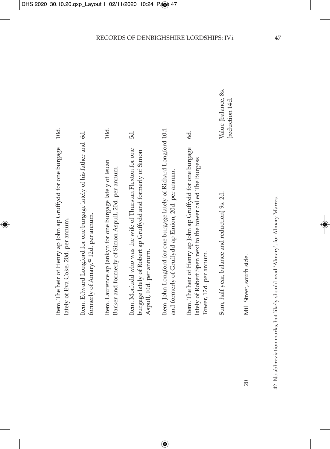| 10d.                                                                                               |                                                                                                                       | 10d.                                                                                                             | 5d.                                                                                                                                                 |                                                                                                                            | હતં.                                                                                                                                                | Value [balance, 8s.<br>reduction 14d.          |                          |
|----------------------------------------------------------------------------------------------------|-----------------------------------------------------------------------------------------------------------------------|------------------------------------------------------------------------------------------------------------------|-----------------------------------------------------------------------------------------------------------------------------------------------------|----------------------------------------------------------------------------------------------------------------------------|-----------------------------------------------------------------------------------------------------------------------------------------------------|------------------------------------------------|--------------------------|
| Item. The heir of Henry ap John ap Gruffydd for one burgage<br>lately of Eva Coke, 20d. per annum. | Item. Edward Longford for one burgage lately of his father and 6d.<br>formerly of Amary, <sup>42</sup> 12d. per amum. | Item. Laurence ap Jankyn for one burgage lately of Ieuan<br>Barker and formerly of Simon Aspull, 20d. per annum. | Item. Morfudd who was the wife of Thurstan Flexton for one<br>burgage lately of Robert ap Gruffydd and formerly of Simon<br>Aspull, 10d. per annum. | Item. John Longford for one burgage lately of Richard Longford 10d.<br>and formerly of Gruffydd ap Einion, 20d. per annum. | Item. The heir of Henry ap John ap Gruffydd for one burgage<br>lately of Robert Spen next to the tower called The Burgess<br>Tower, 12d. per annum. | Sum, half year, balance and reduction} 9s. 2d. | Mill Street, south side. |
|                                                                                                    |                                                                                                                       |                                                                                                                  |                                                                                                                                                     |                                                                                                                            |                                                                                                                                                     |                                                | $\overline{20}$          |

42. No abbreviation marks, but likely should read 'Almary', for Almary Marres. 42. No abbreviation marks, but likely should read 'Almary', for Almary Marres.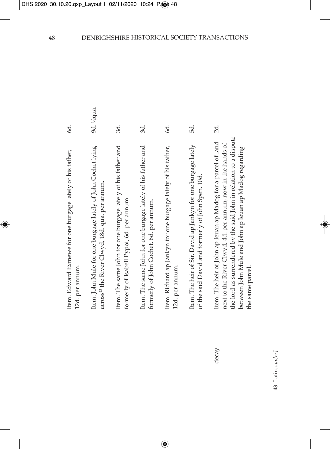|       | Item. Edward Exmewe for one burgage lately of his father,<br>12d. per annum.                                                                                                                                                                                                    | હતં.      |
|-------|---------------------------------------------------------------------------------------------------------------------------------------------------------------------------------------------------------------------------------------------------------------------------------|-----------|
|       | Item. John Mule for one burgage lately of John Cochet lying<br>across <sup>43</sup> the River Clwyd, 18d. qua. per annum.                                                                                                                                                       | 9d. ½qua. |
|       | Item. The same John for one burgage lately of his father and<br>formerly of Isabell Pypot, 6d. per annum.                                                                                                                                                                       | 3d.       |
|       | Item. The same John for one burgage lately of his father and<br>formerly of John Cochet, 6d. per annum.                                                                                                                                                                         | 3d.       |
|       | Item. Richard ap Jankyn for one burgage lately of his father,<br>12d. per annum.                                                                                                                                                                                                | Ġ.        |
|       | Item. The heir of Sir. David ap Jankyn for one burgage lately<br>of the said David and formerly of John Spen, 10d.                                                                                                                                                              | 5d.       |
| decay | the lord as surrendered by the said John in relation to a dispute<br>Item. The heir of John ap Ieuan ap Madog for a parcel of land<br>next to the River Clwyd, 4d. per annum, now in the hands of<br>between John Mule and John ap Ieuan ap Madog regarding<br>the same parcel. | 2d.       |

43. Latin, sup[er]. 43. Latin, *sup[er]*.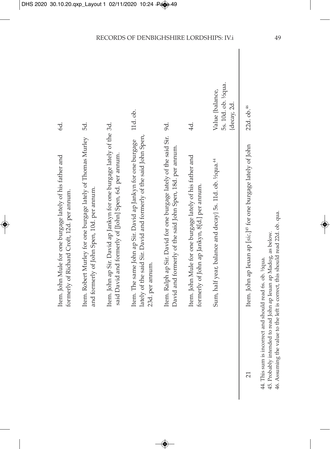| Ġ.                                                                                                     | 5d.                                                                                                       |                                                                                                                                | 11d. ob.                                                                                                                                           | 9d.                                                                                                                            | 4d.                                                                                                      | 5s. 10d. ob. 1/2qua.<br>Value (balance,<br>(decay, 2d.              | 22d. ob. <sup>46</sup>                                                     |
|--------------------------------------------------------------------------------------------------------|-----------------------------------------------------------------------------------------------------------|--------------------------------------------------------------------------------------------------------------------------------|----------------------------------------------------------------------------------------------------------------------------------------------------|--------------------------------------------------------------------------------------------------------------------------------|----------------------------------------------------------------------------------------------------------|---------------------------------------------------------------------|----------------------------------------------------------------------------|
| Item. John Mule for one burgage lately of his father and<br>formerly of Richard Croft, 12d. per annum. | Item. Robert Murley for one burgage lately of Thomas Murley<br>and formerly of John Spen, 10d. per annum. | Item. John ap Sir. David ap Jankyn for one burgage lately of the 3d.<br>said David and formerly of [John] Spen, 6d. per annum. | lately of the said Sir. David and formerly of the said John Spen,<br>Item. The same John ap Sir. David ap Jankyn for one burgage<br>23d. per amum. | Item. Ralph ap Sir. David for one burgage lately of the said Sir.<br>David and formerly of the said John Spen, 18d. per annum. | Item. John Mule for one burgage lately of his father and<br>formerly of John ap Jankyn, 8[d.] per annum. | Sum, half year, balance and decay} 5s. 11d. ob. ½qua. <sup>44</sup> | Item. John ap Ieuan ap [sic.] <sup>45</sup> for one burgage lately of John |
|                                                                                                        |                                                                                                           |                                                                                                                                |                                                                                                                                                    |                                                                                                                                |                                                                                                          |                                                                     | $\overline{21}$                                                            |

RECORDS OF DENBIGHSHIRE LORDSHIPS: IV.i 49

44. This sum is incorrect and should read 6s. ob. ½qua.

45. Probably intended to read John ap Ieuan ap Madog, as below. 46. Assuming the value to the left is correct, this should read 22d. ob. qua.

44. This sum is incorrect and should read 6s. ob. ½qua.<br>45. Probably intended to read John ap Ieuan ap Madog, as below.<br>46. Assuming the value to the left is correct, this should read 22d. ob. qua.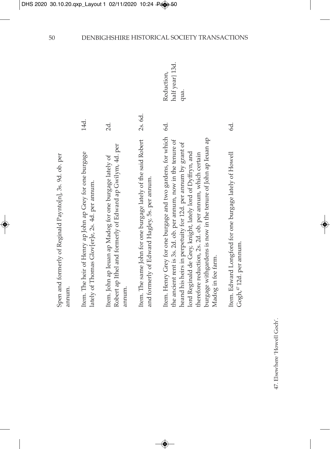| Spen and formerly of Reginald Paynto[n], 3s. 9d. ob. per<br>annum.                                                                                                                                                                                                                                                                                                                                                  |            |                                       |
|---------------------------------------------------------------------------------------------------------------------------------------------------------------------------------------------------------------------------------------------------------------------------------------------------------------------------------------------------------------------------------------------------------------------|------------|---------------------------------------|
| Item. The heir of Henry ap John ap Grey for one burgage<br>lately of Thomas Glov[er]e, 2s. 4d. per annum.                                                                                                                                                                                                                                                                                                           | 14d.       |                                       |
| Robert ap Ithel and formerly of Edward ap Gwilym, 4d. per<br>Item. John ap Ieuan ap Madog for one burgage lately of<br>annum.                                                                                                                                                                                                                                                                                       | 2d.        |                                       |
| Item. The same John for one burgage lately of the said Robert 2s. 6d.<br>and formerly of Edward Hagley, 5s. per annum.                                                                                                                                                                                                                                                                                              |            |                                       |
| Item. Henry Grey for one burgage and two gardens, for which 6d.<br>burgage withgardens is now in the tenure of John ap Ieuan ap<br>the ancient rent is 3s. 2d. ob. per annum, now in the tenure of<br>heand his heirs in perpetuity for 12d. per annum by grant of<br>lord Reginald de Grey, knight, lately lord of Dyffryn, and<br>therefore reduction, 2s. 2d. ob. per annum, which certain<br>Madog in fee farm. |            | half year} 13d.<br>Reduction,<br>qua. |
| Item. Edward Longford for one burgage lately of Howell<br>Gogh, <sup>47</sup> 12d. per annum.                                                                                                                                                                                                                                                                                                                       | <u>તું</u> |                                       |

♦

47. Elsewhere 'Howell Goch'. 47. Elsewhere 'Howell Goch'.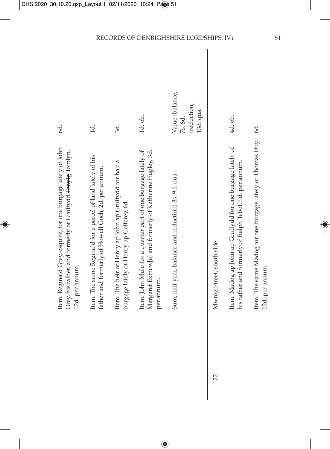| Ś.                                                                                                                                                      | 1d.                                                                                                              | 3d.                                                                                                | 1d. ob.                                                                                                                              | Value {balance,<br>reduction,<br>13d. qua.<br>7s. 8d. |                           | 4d. ob.                                                                                                             | s.                                                                            |
|---------------------------------------------------------------------------------------------------------------------------------------------------------|------------------------------------------------------------------------------------------------------------------|----------------------------------------------------------------------------------------------------|--------------------------------------------------------------------------------------------------------------------------------------|-------------------------------------------------------|---------------------------|---------------------------------------------------------------------------------------------------------------------|-------------------------------------------------------------------------------|
| Item. Reginald Grey, esquire, for one burgage lately of John<br>Grey, his father, and formerly of Gruffydd <del>Tonylg</del> Tomlyn,<br>12d. per annum. | Item. The same Reginald for a parcel of land lately of his<br>father and formerly of Howell Goch, 2d. per annum. | Item. The heir of Henry ap John ap Gruffydd for half a<br>burgage lately of Henry ap Gefferey, 6d. | Margaret Exmew[e] and formerly of Katherine Hagley, 3d.<br>Item. John Mule for a quarter part of one burgage lately of<br>per annum. | Sum, half year, balance and reduction} 8s. 9d. qua.   | Mwrog Street, south side. | Item. Madog ap John ap Gruffydd for one burgage lately of<br>his father and formerly of Ralph Tebot, 9d. per annum. | Item. The same Madog for one burgage lately of Thomas Duy,<br>12d. per annum. |
|                                                                                                                                                         |                                                                                                                  |                                                                                                    |                                                                                                                                      |                                                       | 22                        |                                                                                                                     |                                                                               |

RECORDS OF DENBIGHSHIRE LORDSHIPS: IV.i 51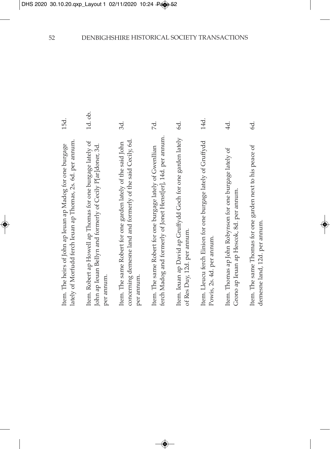| lately of Morfudd ferch Ieuan ap Thomas, 2s. 6d. per annum.<br>Item. The heirs of John ap Ieuan ap Madog for one burgage                   | 15d.    |
|--------------------------------------------------------------------------------------------------------------------------------------------|---------|
| Item. Robert ap Howell ap Thomas for one burgage lately of<br>John ap Ieuan Bellyn and formerly of Cecily P[ar]doner, 3d.<br>per annum.    | 1d. ob. |
| concerning demesne land and formerly of the said Cecily, 6d.<br>Item. The same Robert for one garden lately of the said John<br>per annum. | 3d.     |
| ferch Madog and formerly of Jonet Henst[er], 14d. per annum.<br>Item. The same Robert for one burgage lately of Gwenllian                  | 7d.     |
| Item. Ieuan ap David ap Gruffydd Goch for one garden lately<br>of Res Duy, 12d. per annum.                                                 | Ś.      |
| Item. Lleucu ferch Einion for one burgage lately of Gruffydd<br>Powis, 2s. 4d. per annum.                                                  | 14d.    |
| Item. Thomas ap John Robynson for one burgage lately of<br>Grono ap Ieuan ap Hescok, 8d. per annum.                                        | 4d.     |
| Item. The same Thomas for one garden next to his peace of                                                                                  | હતં.    |

demesne land, 12d. per annum.

demesne land, 12d. per annum.

52 DENBIGHSHIRE HISTORICAL SOCIETY TRANSACTIONS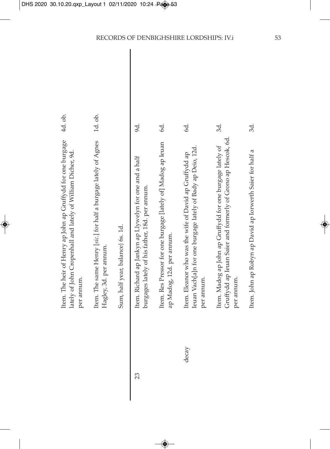| 4d. ob.                                                                                                                                  | 1d. ob.                                                                                  |                                  | z.                                                                                                       | ડવં.                                                                                      | Ś.                                                                                                                                  | 3d.                                                                                                                                     | 3d.                                                       |
|------------------------------------------------------------------------------------------------------------------------------------------|------------------------------------------------------------------------------------------|----------------------------------|----------------------------------------------------------------------------------------------------------|-------------------------------------------------------------------------------------------|-------------------------------------------------------------------------------------------------------------------------------------|-----------------------------------------------------------------------------------------------------------------------------------------|-----------------------------------------------------------|
| Item. The heir of Henry ap John ap Gruffydd for one burgage<br>lately of John Cropenhall and lately of William Dicher, 9d.<br>per annum. | Item. The same Henry [sic.] for half a burgage lately of Agnes<br>Hagley, 3d. per annum. | Sum, half year, balance} 6s. 1d. | Item. Richard ap Jankyn ap Llywelyn for one and a half<br>burgages lately of his father, 18d. per annum. | Item. Res Pressor for one burgage [lately of] Madog ap Ieuan<br>ap Madog, 12d. per annum. | Ieuan Vach[a]n for one burgage lately of Bady ap Deio, 12d.<br>Item. Eleanor who was the wife of David ap Gruffydd ap<br>per annum. | Gruffydd ap Ieuan Saier and formerly of Grono ap Hescok, 6d.<br>Item. Madog ap John ap Gruffydd for one burgage lately of<br>per annum. | Item. John ap Robyn ap David ap Iorwerth Saier for half a |
|                                                                                                                                          |                                                                                          |                                  | 23                                                                                                       |                                                                                           | decay                                                                                                                               |                                                                                                                                         |                                                           |

RECORDS OF DENBIGHSHIRE LORDSHIPS: IV.i 53

 $\overline{\phantom{a}}$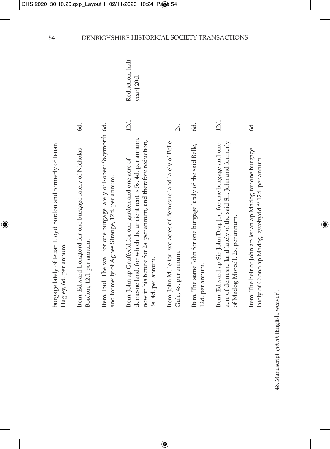| rgage lately of Ieuan Lloyd Bordon and formerly of Ieuan | ziey, 6d. per annum. |  |
|----------------------------------------------------------|----------------------|--|

| Item. Edward Longford for one burgage lately of Nicholas           |  |
|--------------------------------------------------------------------|--|
| Bordon, 12d. per annum.                                            |  |
|                                                                    |  |
| Item. Ibull Thelwall for one burgage lately of Robert Swymorth 6d. |  |

|                               | 12d. | acre of demesne land lately of the said Sir. John and formerly<br>Item. Edward ap Sir. John Drap[er] for one burgage and one<br>of Madog Morcell, 2s. per annum.                                               |  |
|-------------------------------|------|----------------------------------------------------------------------------------------------------------------------------------------------------------------------------------------------------------------|--|
|                               | ડતં  | Item. The same John for one burgage lately of the said Belle,<br>12d. per annum.                                                                                                                               |  |
|                               | 2s.  | Item. John Mule for two acres of demesne land lately of Belle<br>Gule, 4s. per annum.                                                                                                                          |  |
| Reduction, half<br>year} 20d. | 12d. | demesne land, for which the ancient rent is 5s. 4d. per annum,<br>now in his tenure for 2s. per annum, and therefore reduction,<br>Item. John ap Gruffydd for one garden and one acre of<br>3s. 4d. per annum. |  |
|                               |      | Item. Ibull Thelwall for one burgage lately of Robert Swymorth 6d.<br>and formerly of Agnes Strange, 12d. per annum.                                                                                           |  |
|                               | Ś.   | Item. Edward Longford for one burgage lately of Nicholas<br>Bordon, 12d. per annum.                                                                                                                            |  |
|                               |      | burgage lately of Ieuan Lloyd Bordon and formerly of Ieuan<br>Hagley, 6d. per annum.                                                                                                                           |  |

♦

 Item. The heir of John ap Ieuan ap Madog for one burgage 6d. Item. The heir of John ap Ieuan ap Madog for one burgage lately of Grono ap Madog, gwehydd,<sup>48</sup> 12d. per annum. lately of Grono ap Madog, gwehydd,<sup>46</sup> 12d. per annum.

sd.

48. Manuscript, quheth (English, weaver). 48. Manuscript, *quheth* (English, weaver).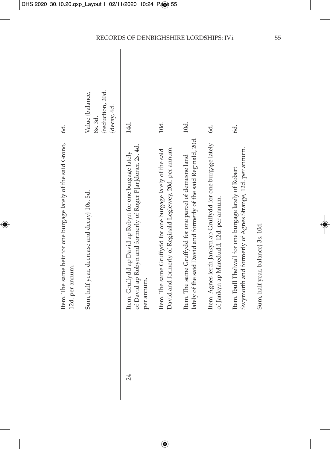| Ś.                                                                               | reduction, 20d.<br>Value {balance,<br>decay, 6d.<br>8s. 3d. | 14d.                                                                                                                                 | 10d.                                                                                                                   | 10d.                                                                                                                      | Ś.                                                                                                    | бd.                                                                                                              |                                   |
|----------------------------------------------------------------------------------|-------------------------------------------------------------|--------------------------------------------------------------------------------------------------------------------------------------|------------------------------------------------------------------------------------------------------------------------|---------------------------------------------------------------------------------------------------------------------------|-------------------------------------------------------------------------------------------------------|------------------------------------------------------------------------------------------------------------------|-----------------------------------|
| Item. The same heir for one burgage lately of the said Grono,<br>12d. per annum. | Sum, half year, decrease and decay} 10s. 5d.                | of David ap Robyn and formerly of Roger P[ar]doner, 2s. 4d.<br>Item. Gruffydd ap David ap Robyn for one burgage lately<br>per annum. | David and formerly of Reginald Leglewey, 20d. per annum.<br>Item. The same Gruffydd for one burgage lately of the said | lately of the said David and formerly of the said Reginald, 20d<br>Item. The same Gruffydd for one parcel of demesne land | Item. Agnes ferch Jankyn ap Gruffydd for one burgage lately<br>of Jankyn ap Maredudd, 12d. per annum. | Swymorth and formerly of Agnes Strange, 12d. per annum.<br>Item. Ibull Thelwall for one burgage lately of Robert | Sum, half year, balance} 3s. 10d. |
|                                                                                  |                                                             | 24                                                                                                                                   |                                                                                                                        |                                                                                                                           |                                                                                                       |                                                                                                                  |                                   |

## RECORDS OF DENBIGHSHIRE LORDSHIPS: IV.i 55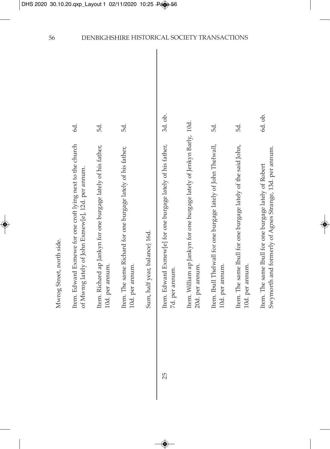| 3d. ob.<br>5d.<br>5d.<br>Ś.<br>5d.<br>5d. | Item. William ap Jankyn for one burgage lately of Jenkyn Barly, 10d.<br>Item. Edward Exmewe for one croft lying next to the church<br>Item. Edward Exmew[e] for one burgage lately of his father,<br>Item. Ibull Thelwall for one burgage lately of John Thelwall,<br>Item. Richard ap Jankyn for one burgage lately of his father,<br>Item. The same Ibull for one burgage lately of the said John,<br>Item. The same Richard for one burgage lately of his father,<br>of Mwrog lately of John Exmew[e], 12d. per annum.<br>Sum, half year, balance} 16d.<br>Mwrog Street, north side.<br>10d. per annum.<br>20d. per annum.<br>10d. per annum.<br>10d. per annum.<br>10d. per annum.<br>7d. per annum. | 25 |
|-------------------------------------------|----------------------------------------------------------------------------------------------------------------------------------------------------------------------------------------------------------------------------------------------------------------------------------------------------------------------------------------------------------------------------------------------------------------------------------------------------------------------------------------------------------------------------------------------------------------------------------------------------------------------------------------------------------------------------------------------------------|----|
| 6d. ob.                                   | Swymorth and formerly of Agnes Strange, 13d. per annum.<br>Item. The same Ibull for one burgage lately of Robert                                                                                                                                                                                                                                                                                                                                                                                                                                                                                                                                                                                         |    |
|                                           |                                                                                                                                                                                                                                                                                                                                                                                                                                                                                                                                                                                                                                                                                                          |    |
|                                           |                                                                                                                                                                                                                                                                                                                                                                                                                                                                                                                                                                                                                                                                                                          |    |
|                                           |                                                                                                                                                                                                                                                                                                                                                                                                                                                                                                                                                                                                                                                                                                          |    |
|                                           |                                                                                                                                                                                                                                                                                                                                                                                                                                                                                                                                                                                                                                                                                                          |    |
|                                           |                                                                                                                                                                                                                                                                                                                                                                                                                                                                                                                                                                                                                                                                                                          |    |
|                                           |                                                                                                                                                                                                                                                                                                                                                                                                                                                                                                                                                                                                                                                                                                          |    |
|                                           |                                                                                                                                                                                                                                                                                                                                                                                                                                                                                                                                                                                                                                                                                                          |    |
|                                           |                                                                                                                                                                                                                                                                                                                                                                                                                                                                                                                                                                                                                                                                                                          |    |
|                                           |                                                                                                                                                                                                                                                                                                                                                                                                                                                                                                                                                                                                                                                                                                          |    |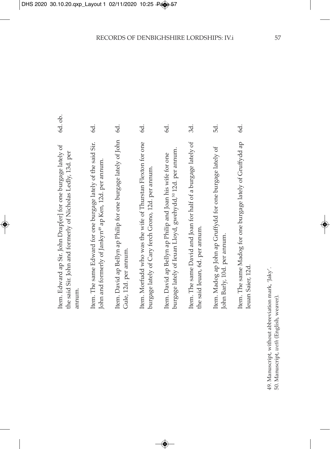| Item. Edward ap Sir. John Drap[er] for one burgage lately of<br>the said Sir. John and formerly of Nicholas Ledly, 13d. per<br>annum. | 6d. ob. |
|---------------------------------------------------------------------------------------------------------------------------------------|---------|
| Item. The same Edward for one burgage lately of the said Sir.<br>John and formerly of Jankyn <sup>49</sup> ap Ken, 12d. per annum.    | હતં.    |
| Item. David ap Bellyn ap Philip for one burgage lately of John<br>Gule, 12d. per annum.                                               | ડતું.   |
| Item. Morfudd who was the wife of Thurstan Flexton for one<br>burgage lately of Cary ferch Grono, 12d. per annum.                     | Ś.      |
| burgage lately of Ieuan Lloyd, gwehydd, <sup>50</sup> 12d. per annum.<br>Item. David ap Bellyn ap Philip and Joan his wife for one    | Ġ.      |
| Item. The same David and Joan for half of a burgage lately of<br>the said leuan, 6d. per annum.                                       | 3d.     |
| Item. Madog ap John ap Gruffydd for one burgage lately of<br>John Barly, 10d. per annum.                                              | 5d.     |
| Item. The same Madog for one burgage lately of Gruffydd ap<br>Ieuan Saier, 12d.                                                       | ડતું.   |

49. Manuscript, without abbreviation mark, 'Jaky'.<br>50. Manuscript, weth (English, weaver). 49. Manuscript, without abbreviation mark, 'Jaky'. 50. Manuscript, *weth* (English, weaver).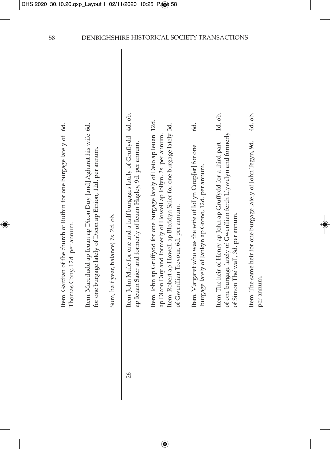| Item. Gardian of the church of Ruthin for one burgage lately of 6d.<br>Thomas Cony, 12d. per annum. | Item. Maredudd ap Ieuan ap Dicon Duy [and] Agharat his wife 6d.<br>for one burgage lately of Dicon ap Einion, 12d. per annum. | Sum, half year, balance} 7s. 2d. ob. | Item. John Mule for one and a half burgages lately of Gruffydd 4d. ob.<br>ap leuan Saier and formerly of Ieuan Hagley, 9d. per annum. | Item. John ap Gruffydd for one burgage lately of Deio ap Ieuan 12d.<br>Item. Robert ap Howell ap Bleddyn Saier for one burgage lately 3d.<br>ap Dicon Duy and formerly of Howell ap Iollyn, 2s. per annum.<br>of Gwenllian Trevour, 6d. per annum. | જીં<br>Item. Margaret who was the wife of Iollyn Coup[er] for one<br>burgage lately of Jankyn ap Grono, 12d. per annum. | 1d. ob.<br>of one burgage lately of Gwenllian ferch Llywelyn and formerly<br>Item. The heir of Henry ap John ap Gruffydd for a third part<br>of Simon Thelwall, 3d. per annum. | 4d. ob.<br>Item. The same heir for one burgage lately of John Tegyn, 9d.<br>per annum. |  |
|-----------------------------------------------------------------------------------------------------|-------------------------------------------------------------------------------------------------------------------------------|--------------------------------------|---------------------------------------------------------------------------------------------------------------------------------------|----------------------------------------------------------------------------------------------------------------------------------------------------------------------------------------------------------------------------------------------------|-------------------------------------------------------------------------------------------------------------------------|--------------------------------------------------------------------------------------------------------------------------------------------------------------------------------|----------------------------------------------------------------------------------------|--|
|                                                                                                     |                                                                                                                               |                                      | 26                                                                                                                                    |                                                                                                                                                                                                                                                    |                                                                                                                         |                                                                                                                                                                                |                                                                                        |  |

 $\overline{\phantom{a}}$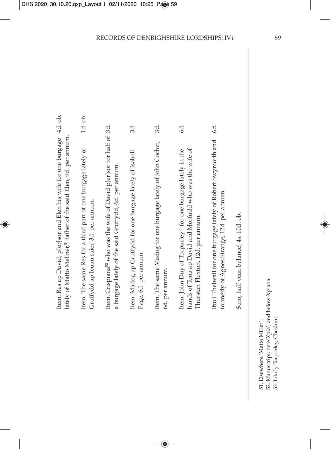| Item. Res ap David, p[er]sor and Elen his wife for one burgage 4d. ob.<br>lately of Matto Mellner, <sup>51</sup> father of the said Elen, 9d. per annum.               |         |
|------------------------------------------------------------------------------------------------------------------------------------------------------------------------|---------|
| Item. The same Res for a third part of one burgage lately of<br>Gruffydd ap Ieuan saier, 3d. per annum.                                                                | 1d. ob. |
| Item. Crispiana <sup>52</sup> who was the wife of David p[er]sor for half of 3d.<br>a burgage lately of the said Gruffydd, 6d. per annum.                              |         |
| Item. Madog ap Gruffydd for one burgage lately of Isabell<br>Page, 6d. per annum.                                                                                      | 3d.     |
| Item. The same Madog for one burgage lately of John Cochet,<br>6d. per annum.                                                                                          | 3d.     |
| hands of Tona ap David and Morfudd who was the wife of<br>Item. John Duy of Torpurley <sup>53</sup> for one burgage lately in the<br>Thurstan Flexton, 12d. per annum. | Ġ.      |
| Ibull Thelwall for one burgage lately of Robert Swymorth and<br>formerly of Agnes Strange, 12d. per annum.                                                             | Ġ.      |
| Sum, half year, balance} 4s. 10d. ob.                                                                                                                                  |         |

51. Elsewhere 'Matto Miller'.<br>52. Manuscript, here Xpia', and below Xpiana.<br>53. Likely Tarporley, Cheshire. 52. Manuscript, here Xpia', and below Xpiana. 51. Elsewhere 'Matto Miller'.

53. Likely Tarporley, Cheshire.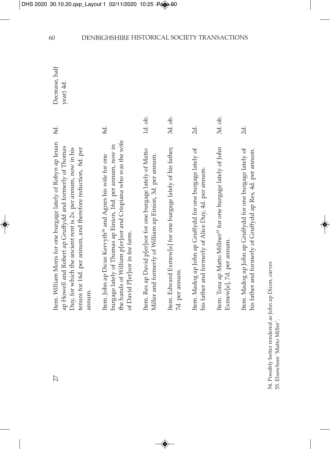| Decrease, half<br>year} 4d.                                                                                                                                                                                                                                      |                                                                                                                                                                                                                                      |                                                                                                                         |                                                                               |                                                                                                                   |                                                                                                      |                                                                                                                         |
|------------------------------------------------------------------------------------------------------------------------------------------------------------------------------------------------------------------------------------------------------------------|--------------------------------------------------------------------------------------------------------------------------------------------------------------------------------------------------------------------------------------|-------------------------------------------------------------------------------------------------------------------------|-------------------------------------------------------------------------------|-------------------------------------------------------------------------------------------------------------------|------------------------------------------------------------------------------------------------------|-------------------------------------------------------------------------------------------------------------------------|
| 8d.                                                                                                                                                                                                                                                              | 8d.                                                                                                                                                                                                                                  | 1d. ob.                                                                                                                 | 3d. ob.                                                                       | 2d.                                                                                                               | 3d. ob.                                                                                              | 2d.                                                                                                                     |
| Item. William Moris for one burgage lately of Robyn ap Ieuan<br>ap Howell and Robert ap Gruffydd and formerly of Thomas<br>Duy, for which the ancient rent is 2s. per annum, now in his<br>tenure for 16d. per annum, and therefore reduction, 8d. per<br>annum. | the hands of William p[er]sor and Crispiana who was the wife<br>burgage lately of Thomas ap Einion, 16d. per annum, now in<br>Item. John ap Dicus Kervyth <sup>54</sup> and Agnes his wife for one<br>of David P[er]sor in fee farm. | Item. Res ap David p[er]sor for one burgage lately of Matto<br>Miller and formerly of William ap Einion, 3d. per annum. | Item. Edward Exmew[e] for one burgage lately of his father,<br>7d. per annum. | Item. Madog ap John ap Gruffydd for one burgage lately of<br>his father and formerly of Alice Duy, 4d. per annum. | Item. Tona ap Matto Millner <sup>55</sup> for one burgage lately of John<br>Exmew[e], 7d. per annum. | Item. Madog ap John ap Gruffydd for one burgage lately of<br>his father and formerly of Gruffydd ap Res, 4d. per annum. |
| 27                                                                                                                                                                                                                                                               |                                                                                                                                                                                                                                      |                                                                                                                         |                                                                               |                                                                                                                   |                                                                                                      |                                                                                                                         |

54. Possibly better rendered as John ap Dicon, carver.<br>55. Elsewhere 'Matto Miller'. 54. Possibly better rendered as John ap Dicon, carver. 55. Elsewhere 'Matto Miller'.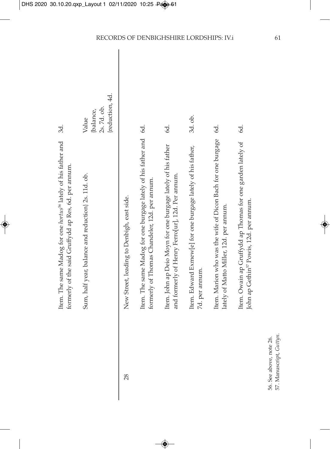|                                                    | Item. The same Madog for one hortus <sup>56</sup> lately of his father and<br>formerly of the said Gruffydd ap Res, 6d. per annum. | ડેવં.                                               |
|----------------------------------------------------|------------------------------------------------------------------------------------------------------------------------------------|-----------------------------------------------------|
|                                                    | Sum, half year, balance and reduction} 2s. 11d. ob.                                                                                | reduction, 4d.<br>2s. 7d. ob.<br>(balance,<br>Value |
| 28                                                 | New Street, leading to Denbigh, east side.                                                                                         |                                                     |
|                                                    | Item. The same Madog for one burgage lately of his father and<br>formerly of Thomas Chandeler, 12d. per annum.                     | sd.                                                 |
|                                                    | Item. John ap Deio Moyn for one burgage lately of his father<br>and formerly of Henry Ferro[ur], 12d. Per annum.                   | હં                                                  |
|                                                    | Item. Edward Exmew[e] for one burgage lately of his father,<br>7d. per annum.                                                      | 3d. ob.                                             |
|                                                    | Item. Marion who was the wife of Dicon Bach for one burgage<br>lately of Matto Miller, 12d. per annum.                             | sd.                                                 |
|                                                    | Item. Owain ap Gruffydd ap Thomas for one garden lately of<br>John ap Gethin <sup>57</sup> Powis, 12d. per annum.                  | Ś.                                                  |
| 57. Manuscript, Guttyn.<br>56. See above, note 26. |                                                                                                                                    |                                                     |

RECORDS OF DENBIGHSHIRE LORDSHIPS: IV.i 61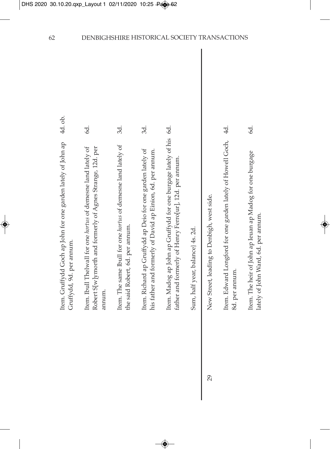| 4d. ob.                                                                                  | Gd.                                                                                                                                  | 3d.                                                                                              | 3d.                                                                                                                      |                                                                                                                              |                                  |                                            |                                                                                   | bd.                                                                                             |
|------------------------------------------------------------------------------------------|--------------------------------------------------------------------------------------------------------------------------------------|--------------------------------------------------------------------------------------------------|--------------------------------------------------------------------------------------------------------------------------|------------------------------------------------------------------------------------------------------------------------------|----------------------------------|--------------------------------------------|-----------------------------------------------------------------------------------|-------------------------------------------------------------------------------------------------|
| Item. Gruffydd Goch ap John for one garden lately of John ap<br>Gruffydd, 9d. per annum. | Item. Ibull Thelwall for one hortus of demesne land lately of<br>Robert S[w]ymorth and formerly of Agnes Strange, 12d. per<br>annum. | Item. The same Ibull for one hortus of demesne land lately of<br>the said Robert, 6d. per annum. | Item. Richard ap Gruffydd ap Deio for one garden lately of<br>his father and formerly of David ap Einion, 6d. per annum. | Item. Madog ap John ap Gruffydd for one burgage lately of his 6d.<br>father and formerly of Henry Ferro[ur], 12d. per annum. | Sum, half year, balance} 4s. 2d. | New Street, leading to Denbigh, west side. | Item. Edward Longford for one garden lately of Howell Goch, 4d.<br>8d. per annum. | Item. The heir of John ap Ieuan ap Madog for one burgage<br>lately of John Ward, 6d. per annum. |
|                                                                                          |                                                                                                                                      |                                                                                                  |                                                                                                                          |                                                                                                                              |                                  | 29                                         |                                                                                   |                                                                                                 |

I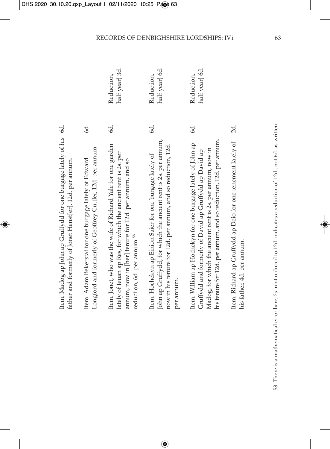|                                                                                                                              |                                                                                                                     | half year} 3d.<br>Reduction,                                                                                                                                                                                                      | half year} 6d.<br>Reduction,                                                                                                                                                                             | half year} 6d.<br>Reduction,                                                                                                                                                                                                                            |                                                                                            |
|------------------------------------------------------------------------------------------------------------------------------|---------------------------------------------------------------------------------------------------------------------|-----------------------------------------------------------------------------------------------------------------------------------------------------------------------------------------------------------------------------------|----------------------------------------------------------------------------------------------------------------------------------------------------------------------------------------------------------|---------------------------------------------------------------------------------------------------------------------------------------------------------------------------------------------------------------------------------------------------------|--------------------------------------------------------------------------------------------|
|                                                                                                                              | હં.                                                                                                                 | <u>તું</u>                                                                                                                                                                                                                        | бd.                                                                                                                                                                                                      | 6d                                                                                                                                                                                                                                                      | 2d.                                                                                        |
| Item. Madog ap John ap Gruffydd for one burgage lately of his 6d.<br>father and formerly of Jonet Henst[er], 12d. per annum. | Longford and formerly of Geoffrey Cuttler, 12d. per annum.<br>Item. Adam Bekerstaf for one burgage lately of Edward | Item. Jonet, who was the wife of Richard Yale for one garden<br>lately of Ieuan ap Res, for which the ancient rent is 2s. per<br>annum, now in [her] tenure for 12d. per annum, and so<br>reduction, 6d. per annum. <sup>58</sup> | John ap Gruffydd, for which the ancient rent is 2s. per annum,<br>now in his tenure for 12d. per annum, and so reduction, 12d.<br>Item. Hochekyn ap Einion Saier for one burgage lately of<br>per annum. | his tenure for 12d. per annum, and so reduction, 12d. per annum.<br>Item. William ap Hochekyn for one burgage lately of John ap<br>Madog, for which the ancient rent is 2s. per annum, now in<br>Gruffydd and formerly of David ap Gruffydd ap David ap | Item. Richard ap Gruffydd ap Deio for one tenement lately of<br>his father, 4d. per annum. |

58. There is a mathematical error here; 2s. rent reduced to 12d. indicates a reduction of 12d., not 6d. as written. 58. There is a mathematical error here; 2s. rent reduced to 12d. indicates a reduction of 12d., not 6d. as written.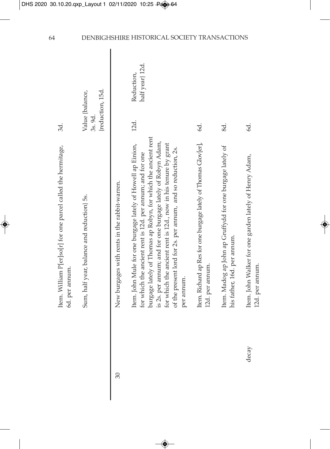| I |    |  |
|---|----|--|
| ٠ | ٠  |  |
|   | ., |  |
| I |    |  |

 $\overline{\phantom{a}}$ 

DHS 2020 30.10.20.qxp\_Layout 1 02/11/2020 10:25 Page 64

| 3d.                                                                             | reduction, 15d.<br>Value {balance,<br>3s. 9d. |                                               | half year} 12d.<br>Reduction,<br>12d.                                                                                                                                                                                                                                                                                                                                                                    | bd.                                                                                | 8d.                                                                                      | Ġ.                                                                        |
|---------------------------------------------------------------------------------|-----------------------------------------------|-----------------------------------------------|----------------------------------------------------------------------------------------------------------------------------------------------------------------------------------------------------------------------------------------------------------------------------------------------------------------------------------------------------------------------------------------------------------|------------------------------------------------------------------------------------|------------------------------------------------------------------------------------------|---------------------------------------------------------------------------|
| Item. William P[er]so[r] for one parcel called the hermitage,<br>6d. per annum. | Sum, half year, balance and reduction} 5s.    | New burgages with rents in the rabbit-warren. | burgage lately of Thomas ap Robyn, for which the ancient rent<br>is 2s. per annum; and for one burgage lately of Robyn Adam,<br>Item. John Mule for one burgage lately of Howell ap Einion,<br>for which the ancient rent is 12d., now in his tenure by grant<br>of the present lord for 2s. per annum, and so reduction, 2s.<br>for which the ancient rent is 12d. per annum; and for one<br>per annum. | Item. Richard ap Res for one burgage lately of Thomas Glov[er],<br>12d. per annum. | Item. Madog ap John ap Gruffydd for one burgage lately of<br>his father, 16d. per annum. | Item. John Walker for one garden lately of Henry Adam,<br>12d. per annum. |
|                                                                                 |                                               | 30                                            |                                                                                                                                                                                                                                                                                                                                                                                                          |                                                                                    |                                                                                          | decay                                                                     |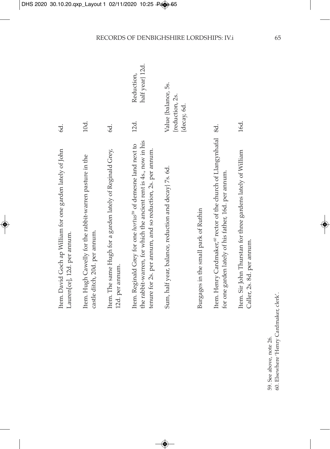| Item. Henry Cardmaker, <sup>60</sup> rector of the church of Llangynhafal<br>the rabbit-warren, for which the ancient rent is 4s., now in his<br>Item. Reginald Grey for one hortus <sup>59</sup> of demesne land next to<br>Item. David Goch ap William for one garden lately of John<br>Item. The same Hugh for a garden lately of Reginald Grey,<br>tenure for 2s. per annum, and so reduction, 2s. per annum.<br>Item. Sir John Thurstan for three gardens lately of William<br>Item. Hugh Cawelly for the rabbit-warren pasture in the<br>Sum, half year, balance, reduction and decay} 7s. 6d.<br>for one garden lately of his father, 16d. per annum.<br>Burgages in the small park of Ruthin<br>castle ditch, 20d. per annum.<br>Lauren[ce], 12d. per annum.<br>12d. per annum. | Ś. | 10d. | Ġ. | half year} 12d.<br>Reduction,<br>12d. | Value {balance, 5s.<br>reduction, 2s.<br>decay, 6d. | 8d. | 16d.                       |
|-----------------------------------------------------------------------------------------------------------------------------------------------------------------------------------------------------------------------------------------------------------------------------------------------------------------------------------------------------------------------------------------------------------------------------------------------------------------------------------------------------------------------------------------------------------------------------------------------------------------------------------------------------------------------------------------------------------------------------------------------------------------------------------------|----|------|----|---------------------------------------|-----------------------------------------------------|-----|----------------------------|
|                                                                                                                                                                                                                                                                                                                                                                                                                                                                                                                                                                                                                                                                                                                                                                                         |    |      |    |                                       |                                                     |     | Caller, 2s. 8d. per annum. |

59. See above, note 26.<br>60. Elsewhere 'Henry Cardmaker, clerk'. 60. Elsewhere 'Henry Cardmaker, clerk'. 59. See above, note 26.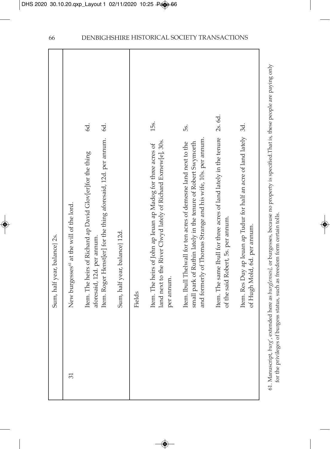|    | Sum, half year, balance} 2s.                                                                                                                                                                          |
|----|-------------------------------------------------------------------------------------------------------------------------------------------------------------------------------------------------------|
| 31 | New burgesses <sup>61</sup> at the will of the lord.                                                                                                                                                  |
|    | s.<br>бd.<br>Item. Roger Henst[er] for the thing aforesaid, 12d. per annum.<br>Item. The heirs of Richard ap David Glov[er]for the thing<br>aforesaid, 12d. per annum.                                |
|    | Sum, half year, balance} 12d.                                                                                                                                                                         |
|    | Fields                                                                                                                                                                                                |
|    | 15s.<br>land next to the River Clwyd lately of Richard Exmew[e], 30s.<br>Item. The heirs of John ap Ieuan ap Madog for three acres of<br>per annum.                                                   |
|    | 5s.<br>and formerly of Thomas Strange and his wife, 10s. per annum.<br>Item. Ibull Thelwall for ten acres of demesne land next to the<br>small park of Ruthin lately in the tenure of Robert Swymorth |
|    | Item. The same Ibull for three acres of land lately in the tenure 2s. 6d.<br>of the said Robert, 5s. per annum.                                                                                       |
|    | Item. Res Duy ap Ieuan ap Tudur for half an acre of land lately 3d.<br>of Hugh Mold, 6d. per annum.                                                                                                   |
|    |                                                                                                                                                                                                       |

61. Manuscript, burg', extended here as burglenses], or burgesses, because no property is specified. That is, these people are paying only 61. Manuscript, *burg*', extended here as *burg[enses]*, or burgesses, because no property is specified.That is, these people are paying only for the privileges of burgess status, such as freedom form certain tolls. for the privileges of burgess status, such as freedom form certain tolls.

## 66 DENBIGHSHIRE HISTORICAL SOCIETY TRANSACTIONS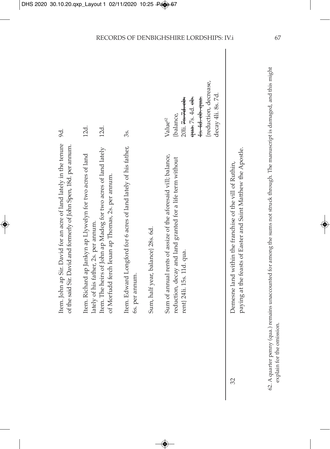| 9d.                                                                                                                                   | 12d.<br>12d.                                                                                                                                                                                                           | 3s.                                                                               |                                   | treduction, decrease,<br>decay 41i. 8s. 7d.<br><del>qua.</del> 7s. 4d. <del>ob.</del><br>4 <del>s. 4d. ob. qua.</del><br>2011. <del>7s. 7d. ob.</del><br>(balance,<br>Value <sup>62</sup> |                                                                                                                           |
|---------------------------------------------------------------------------------------------------------------------------------------|------------------------------------------------------------------------------------------------------------------------------------------------------------------------------------------------------------------------|-----------------------------------------------------------------------------------|-----------------------------------|-------------------------------------------------------------------------------------------------------------------------------------------------------------------------------------------|---------------------------------------------------------------------------------------------------------------------------|
| Item. John ap Sir. David for an acre of land lately in the tenure<br>of the said Sir. David and formerly of John Spen, 18d. per amum. | Item. The heirs of John ap Madog for two acres of land lately<br>Item. Richard ap Jankyn ap Llywelyn for two acres of land<br>of Morfudd ferch Ieuan ap Thomas, 2s. per annum.<br>lately of his father, 2s. per annum. | Item. Edward Longford for 6 acres of land lately of his father,<br>6s. per annum. | Sum, half year, balance} 28s. 6d. | Sum of annual rents of assize of the aforesaid vill; balance,<br>reduction, decay and land granted for a life term without<br>rent} 24li. 15s. 11d. qua.                                  | paying at the feasts of Easter and Saint Matthew the Apostle.<br>Demesne land within the franchise of the vill of Ruthin, |
|                                                                                                                                       |                                                                                                                                                                                                                        |                                                                                   |                                   |                                                                                                                                                                                           | 32                                                                                                                        |

62. A quarter penny (qua.) remains unaccounted for among the sums not struck through. The manuscript is damaged, and this might 62. A quarter penny (qua.) remains unaccounted for among the sums not struck through. The manuscript is damaged, and this might explain for the omission. explain for the omission.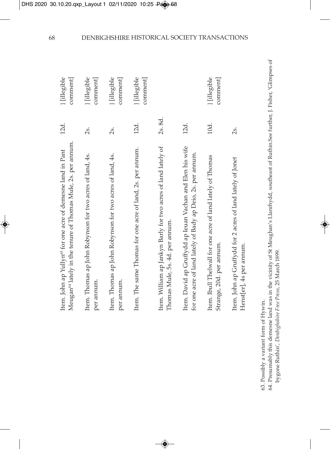| Meugan <sup>64</sup> lately in the tenure of Thomas Mule, 2s. per annum.<br>Item. John ap Yullyn <sup>63</sup> for one acre of demesne land in Pant | 12d.    | illegible<br>comment  |  |
|-----------------------------------------------------------------------------------------------------------------------------------------------------|---------|-----------------------|--|
| Item. Thomas ap John Robynson for two acres of land, 4s.<br>per annum.                                                                              | 2s.     | lillegible<br>comment |  |
| Item. Thomas ap John Robynson for two acres of land, 4s.<br>per annum.                                                                              | 2s.     | illegible<br>comment  |  |
| Item. The same Thomas for one acre of land, 2s. per annum.                                                                                          | 12d.    | lillegible<br>comment |  |
| Item. William ap Jankyn Barly for two acres of land lately of<br>Thomas Mule, 5s. 4d. per annum.                                                    | 2s. 8d. |                       |  |
| Item. David ap Gruffydd ap Ieuan Vachan and Elen his wife<br>for one acre of land lately of Bady ap Deio, 2s. per annum.                            | 12d.    |                       |  |
| Item. Ibull Thelwall for one acre of land lately of Thomas<br>Strange, 20d. per annum.                                                              | 10d.    | illegible<br>comment  |  |
| Item. John ap Gruffydd for 2 acres of land lately of Jonet<br>Henst[er], 4s per annum.                                                              | 2s.     |                       |  |

63. Possibly a variant form of Hywin. 63. Possibly a variant form of Hywin.

64. Presumably this demesne land was in the vicinity of St Meughan's Llanthydd, southeast of Ruthin.See further, J. Fisher, 'Glimpses of 64. Presumably this demesne land was in the vicinity of St Meughan's Llanrhydd, southeast of Ruthin.See further, J. Fisher, 'Glimpses of bygone Ruthin', *Denbighshire Free Press*, 25 March 1899. bygone Ruthin', Denbighshire Free Press, 25 March 1899.

## 68 DENBIGHSHIRE HISTORICAL SOCIETY TRANSACTIONS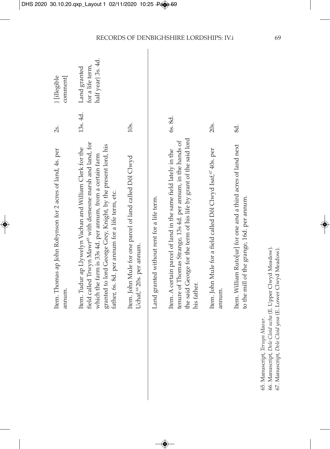|                               | Item. Thomas ap John Robynson for 2 acres of land, 4s. per<br>annum.                                                                                                                                                                                                                                               | 2s.      | lillegible<br>comment]                                 |
|-------------------------------|--------------------------------------------------------------------------------------------------------------------------------------------------------------------------------------------------------------------------------------------------------------------------------------------------------------------|----------|--------------------------------------------------------|
|                               | field called Trwyn Mawr <sup>65</sup> with demesne marsh and land, for<br>granted to lord George Grey, Knight, by the present lord, his<br>Item. Tudur ap Llywelyn Vachan and William Clerk for the<br>which the farm is 33s 4d, per annum, from a certain farm<br>father, 6s. 8d. per annum for a life term, etc. | 13s. 4d. | half year} 3s. 4d.<br>for a life term,<br>Land granted |
|                               | Item. John Mule for one parcel of land called Dôl Clwyd<br>Uchaf, <sup>66</sup> 20s. per annum.                                                                                                                                                                                                                    | 10s.     |                                                        |
|                               | Land granted without rent for a life term.                                                                                                                                                                                                                                                                         |          |                                                        |
|                               | the said George for the term of his life by grant of the said lord<br>tenure of Thomas Strange, 13s 4d. per annum, in the hands of<br>Item. A certain parcel of land in the same field lately in the<br>his father.                                                                                                | 6s. 8d.  |                                                        |
|                               | Item. John Mule for a field called Dôl Clwyd Isaf, <sup>67</sup> 40s. per<br>annum.                                                                                                                                                                                                                                | 20s.     |                                                        |
|                               | Item. William Ruto[ur] for one and a third acres of land next<br>to the mill of the grange, 16d. per annum.                                                                                                                                                                                                        | 8d.      |                                                        |
| 65. Manuscript, Teruyn Maour. |                                                                                                                                                                                                                                                                                                                    |          |                                                        |

oo: wanuscript, *tertyn twututi.*<br>66. Manuscript, *Dole Cloid ucha* (E. Upper Clwyd Meadow).<br>67. Manuscript, *Dole Cloid yssa* (E. Lower Clwyd Meadow). 66. Manuscript, *Dole Cloid ucha* (E. Upper Clwyd Meadow). 67. Manuscript, *Dole Cloid yssa* (E. Lower Clwyd Meadow).

RECORDS OF DENBIGHSHIRE LORDSHIPS: IV.i 69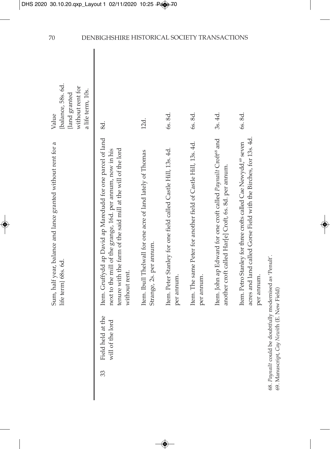|                                                                                                                                                                                                            | 12d.                                                                                  | 6s. 8d.                                                                      | 6s. 8d.                                                                       | 3s. 4d.                                                                                                                             | 6s. 8d.                                                                                                                                                      |
|------------------------------------------------------------------------------------------------------------------------------------------------------------------------------------------------------------|---------------------------------------------------------------------------------------|------------------------------------------------------------------------------|-------------------------------------------------------------------------------|-------------------------------------------------------------------------------------------------------------------------------------|--------------------------------------------------------------------------------------------------------------------------------------------------------------|
| Item. Gruffydd ap David ap Maredudd for one parcel of land<br>tenure with the farm of the said mill at the will of the lord<br>next to the mill of the grange, 16d. per annum, now in his<br>without rent. | Item. Ibull Thelwall for one acre of land lately of Thomas<br>Strange, 2s. per annum. | Item. Peter Stanley for one field called Castle Hill, 13s. 4d.<br>per annum. | Item. The same Peter for another field of Castle Hill, 13s. 4d.<br>per annum. | Item. John ap Edward for one croft called Paynailt Croft <sup>68</sup> and<br>another croft called Har[e] Croft, 6s. 8d. per annum. | acres and land called Gorse Field with the Birches, for 13s. 4d<br>Item. Petro Stanley for three crofts called Cae Newydd, <sup>69</sup> seven<br>per annum. |
| will of the lord<br>33                                                                                                                                                                                     |                                                                                       |                                                                              |                                                                               |                                                                                                                                     |                                                                                                                                                              |
|                                                                                                                                                                                                            | sd.<br>Field held at the                                                              |                                                                              |                                                                               |                                                                                                                                     |                                                                                                                                                              |

68. Paynailt could be doubtfully modernised as 'Penult'. 69. Manuscript, Cay Newith (E. New Field) 68. *Paynailt* could be doubtfully modernised as 'Penult'. 69. Manuscript, *Cay Newit*h (E. New Field)

## 70 DENBIGHSHIRE HISTORICAL SOCIETY TRANSACTIONS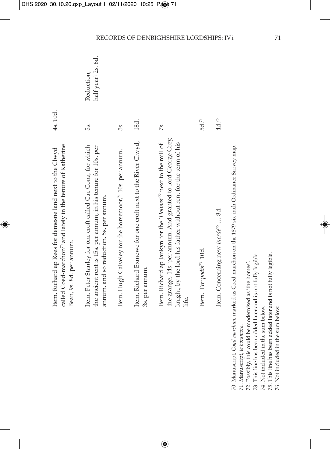| called Coed-marchon <sup>70</sup> and lately in the tenure of Katherine<br>Item. Richard ap Rees for demesne land next to the Clwyd<br>Bean, 9s. 8d. per annum.                                                       | 4s. 10d.          |                                  |
|-----------------------------------------------------------------------------------------------------------------------------------------------------------------------------------------------------------------------|-------------------|----------------------------------|
| Item. Peter Stanley for one croft called Cae Cona, for which<br>the ancient rent is 15s. per annum, in his tenure for 10s. per<br>annum, and so reduction, 5s. per annum.                                             | 5s.               | half year} 2s. 6d.<br>Reduction, |
| Item. Hugh Calveley for the horsemoor, <sup>71</sup> 10s. per annum.                                                                                                                                                  | 5s.               |                                  |
| Item. Richard Exmewe for one croft next to the River Clwyd,<br>3s. per annum.                                                                                                                                         | 18d.              |                                  |
| the grange, 14s. per annum. And granted to lord George Grey,<br>knight, by the lord his father without rent for the term of his<br>Item. Richard ap Jankyn for the 'Holmes <sup>72</sup> next to the mill of<br>life. | 7s.               |                                  |
| Item. For podis <sup>73</sup> 10d.                                                                                                                                                                                    | 5d. <sup>74</sup> |                                  |
| Item. Concerning new incrde <sup>75</sup> 8d.                                                                                                                                                                         | 4d. <sup>76</sup> |                                  |
| 70. Manuscript, Coyd marchan, marked as Coed-marchon on the 1879 six-inch Ordinance Survey map.<br>72. Possibly, this could be modernised as 'the homes'.<br>71. Manuscript, le horsmore.                             |                   |                                  |

Ĩ  $\mathfrak{c}$ 

71. Manuscript, le horsmore.<br>
72. Possibly, this could be modernised as 'the homes'.<br>
73. This line has been added later and is not fully legible. 73. This line has been added later and is not fully legible. 72. Possibly, this could be modernised as 'the homes'.

74. Not included in the sum below.

74. Not included in the sum below.<br>75. This line has been added later and is not fully legible.<br>76. Not included in the sum below. 75. This line has been added later and is not fully legible. 76. Not included in the sum below.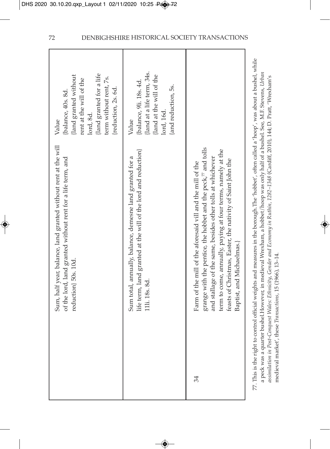|  |  |  |  |  | DHS 2020 30.10.20.qxp_Layout 1 02/11/2020 10:25 <del>P@o 72</del> |  |
|--|--|--|--|--|-------------------------------------------------------------------|--|
|--|--|--|--|--|-------------------------------------------------------------------|--|

| [land granted for a life<br>land granted without<br>term without rent, 7s.<br>rent at the will of the<br>reduction, 2s. 6d.<br>balance, 40s. 8d.<br>lord, 8d.<br>Value | Jand at a life term, 34s.<br>land at the will of the<br>(balance, 9li. 18s. 4d.<br>and reduction, 5s.<br>lord, 16d.<br>Value                 |                                                                                                                                                                                                                                                                                                                                                                         |                                                                                                                                                                                                                                                                                                                                                                                                                   |
|------------------------------------------------------------------------------------------------------------------------------------------------------------------------|----------------------------------------------------------------------------------------------------------------------------------------------|-------------------------------------------------------------------------------------------------------------------------------------------------------------------------------------------------------------------------------------------------------------------------------------------------------------------------------------------------------------------------|-------------------------------------------------------------------------------------------------------------------------------------------------------------------------------------------------------------------------------------------------------------------------------------------------------------------------------------------------------------------------------------------------------------------|
| Sum, half year, balance, land granted without rent at the will<br>of the lord, land granted without rent for a life term, and<br>reduction} 50s. 10d.                  | life term, land granted at the will of the lord and reduction}<br>Sum total, annually, balance, demesne land granted for a<br>111i. 18s. 8d. | grange with the pentice, the hobbet and the peck, $\overline{r}$ and tolls<br>term to come, annually, paying at four terms, namely at the<br>and stallage of the same, besides other tolls at whichever<br>feasts of Christmas, Easter, the nativity of Saint John the<br>Farm of the mill of the aforesaid vill and the mill of the<br>Baptist, and Michaelmas.}<br>34 | 77. This is the right to control official weights and measures in the borough.The 'hobbet', often called a 'hoop', was about a bushel, while<br>a peck was a quarter bushel.However, in medieval Wrexham, a hobbet/hoop was only half of a bushel. See, M.F. Stevens, Urban<br>assimilation in Post-Conquest Wales: Ethnicity, Gender and Economy in Ruthin, 1282-1348 (Cardiff, 2010), 144; D. Pratt, 'Wrexham's |

medieval market', these *Transactions*, 15 (1966), 13–14.

medieval market', these Transactions, 15 (1966), 13-14.